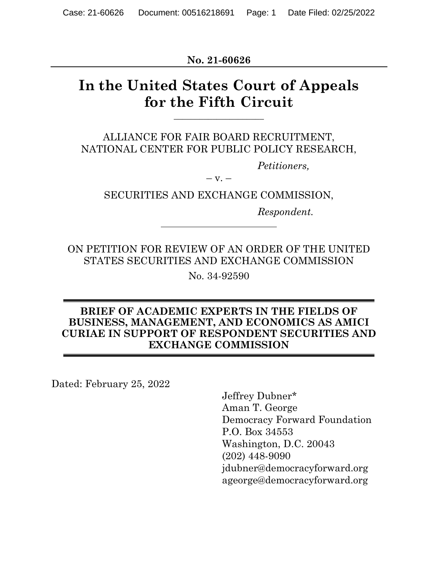**No. 21-60626**

# **In the United States Court of Appeals for the Fifth Circuit**

 $\overline{\phantom{a}}$  , where  $\overline{\phantom{a}}$ 

ALLIANCE FOR FAIR BOARD RECRUITMENT, NATIONAL CENTER FOR PUBLIC POLICY RESEARCH,

*Petitioners,*

 $-$  v.  $-$ 

SECURITIES AND EXCHANGE COMMISSION,

*Respondent.*

ON PETITION FOR REVIEW OF AN ORDER OF THE UNITED STATES SECURITIES AND EXCHANGE COMMISSION

No. 34-92590

#### **BRIEF OF ACADEMIC EXPERTS IN THE FIELDS OF BUSINESS, MANAGEMENT, AND ECONOMICS AS AMICI CURIAE IN SUPPORT OF RESPONDENT SECURITIES AND EXCHANGE COMMISSION**

Dated: February 25, 2022

Jeffrey Dubner\* Aman T. George Democracy Forward Foundation P.O. Box 34553 Washington, D.C. 20043 (202) 448-9090 jdubner@democracyforward.org ageorge@democracyforward.org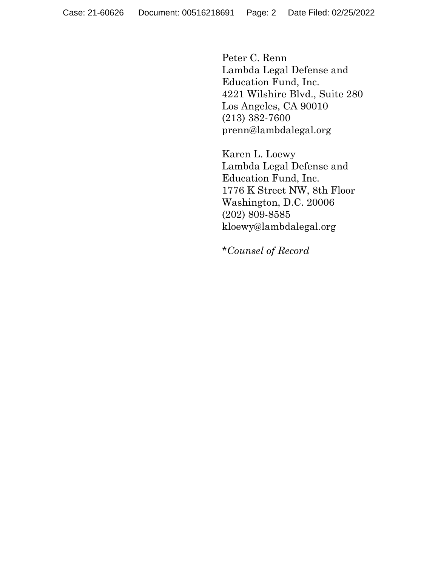Peter C. Renn Lambda Legal Defense and Education Fund, Inc. 4221 Wilshire Blvd., Suite 280 Los Angeles, CA 90010 (213) 382-7600 prenn@lambdalegal.org

Karen L. Loewy Lambda Legal Defense and Education Fund, Inc. 1776 K Street NW, 8th Floor Washington, D.C. 20006 (202) 809-8585 kloewy@lambdalegal.org

\**Counsel of Record*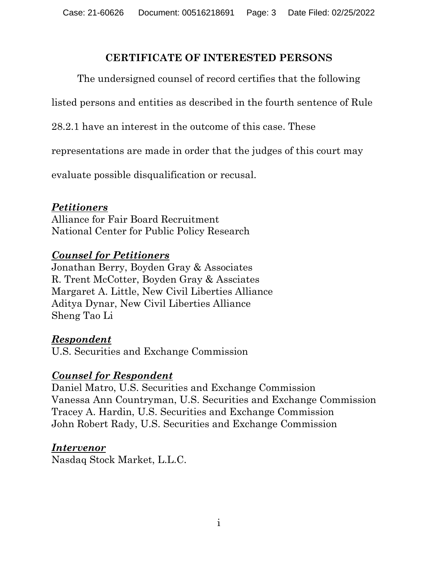#### **CERTIFICATE OF INTERESTED PERSONS**

The undersigned counsel of record certifies that the following

listed persons and entities as described in the fourth sentence of Rule

28.2.1 have an interest in the outcome of this case. These

representations are made in order that the judges of this court may

evaluate possible disqualification or recusal.

#### *Petitioners*

Alliance for Fair Board Recruitment National Center for Public Policy Research

#### *Counsel for Petitioners*

Jonathan Berry, Boyden Gray & Associates R. Trent McCotter, Boyden Gray & Assciates Margaret A. Little, New Civil Liberties Alliance Aditya Dynar, New Civil Liberties Alliance Sheng Tao Li

#### *Respondent*

U.S. Securities and Exchange Commission

#### *Counsel for Respondent*

Daniel Matro, U.S. Securities and Exchange Commission Vanessa Ann Countryman, U.S. Securities and Exchange Commission Tracey A. Hardin, U.S. Securities and Exchange Commission John Robert Rady, U.S. Securities and Exchange Commission

#### *Intervenor*

Nasdaq Stock Market, L.L.C.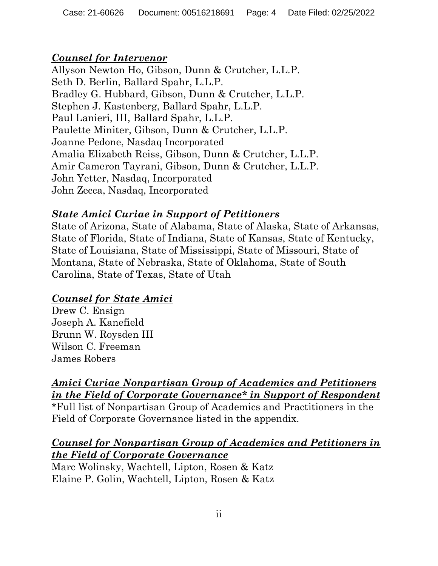# *Counsel for Intervenor*

Allyson Newton Ho, Gibson, Dunn & Crutcher, L.L.P. Seth D. Berlin, Ballard Spahr, L.L.P. Bradley G. Hubbard, Gibson, Dunn & Crutcher, L.L.P. Stephen J. Kastenberg, Ballard Spahr, L.L.P. Paul Lanieri, III, Ballard Spahr, L.L.P. Paulette Miniter, Gibson, Dunn & Crutcher, L.L.P. Joanne Pedone, Nasdaq Incorporated Amalia Elizabeth Reiss, Gibson, Dunn & Crutcher, L.L.P. Amir Cameron Tayrani, Gibson, Dunn & Crutcher, L.L.P. John Yetter, Nasdaq, Incorporated John Zecca, Nasdaq, Incorporated

# *State Amici Curiae in Support of Petitioners*

State of Arizona, State of Alabama, State of Alaska, State of Arkansas, State of Florida, State of Indiana, State of Kansas, State of Kentucky, State of Louisiana, State of Mississippi, State of Missouri, State of Montana, State of Nebraska, State of Oklahoma, State of South Carolina, State of Texas, State of Utah

# *Counsel for State Amici*

Drew C. Ensign Joseph A. Kanefield Brunn W. Roysden III Wilson C. Freeman James Robers

# *Amici Curiae Nonpartisan Group of Academics and Petitioners in the Field of Corporate Governance\* in Support of Respondent*

\*Full list of Nonpartisan Group of Academics and Practitioners in the Field of Corporate Governance listed in the appendix.

### *Counsel for Nonpartisan Group of Academics and Petitioners in the Field of Corporate Governance*

Marc Wolinsky, Wachtell, Lipton, Rosen & Katz Elaine P. Golin, Wachtell, Lipton, Rosen & Katz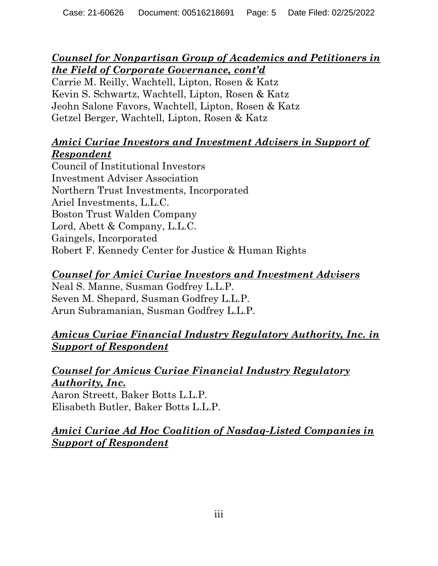### *Counsel for Nonpartisan Group of Academics and Petitioners in the Field of Corporate Governance, cont'd*

Carrie M. Reilly, Wachtell, Lipton, Rosen & Katz Kevin S. Schwartz, Wachtell, Lipton, Rosen & Katz Jeohn Salone Favors, Wachtell, Lipton, Rosen & Katz Getzel Berger, Wachtell, Lipton, Rosen & Katz

# *Amici Curiae Investors and Investment Advisers in Support of Respondent*

Council of Institutional Investors Investment Adviser Association Northern Trust Investments, Incorporated Ariel Investments, L.L.C. Boston Trust Walden Company Lord, Abett & Company, L.L.C. Gaingels, Incorporated Robert F. Kennedy Center for Justice & Human Rights

### *Counsel for Amici Curiae Investors and Investment Advisers*

Neal S. Manne, Susman Godfrey L.L.P. Seven M. Shepard, Susman Godfrey L.L.P. Arun Subramanian, Susman Godfrey L.L.P.

# *Amicus Curiae Financial Industry Regulatory Authority, Inc. in Support of Respondent*

### *Counsel for Amicus Curiae Financial Industry Regulatory Authority, Inc.*

Aaron Streett, Baker Botts L.L.P. Elisabeth Butler, Baker Botts L.L.P.

# *Amici Curiae Ad Hoc Coalition of Nasdaq-Listed Companies in Support of Respondent*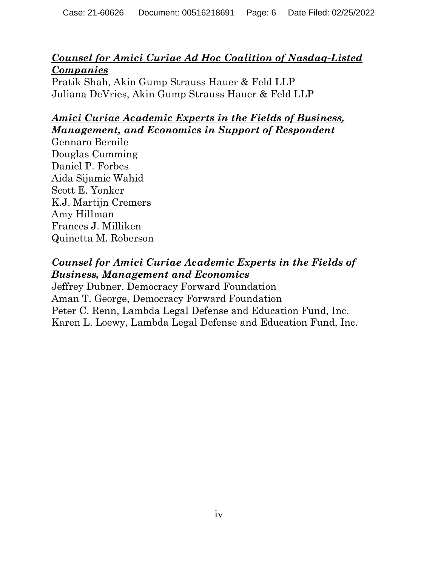### *Counsel for Amici Curiae Ad Hoc Coalition of Nasdaq-Listed Companies*

Pratik Shah, Akin Gump Strauss Hauer & Feld LLP Juliana DeVries, Akin Gump Strauss Hauer & Feld LLP

# *Amici Curiae Academic Experts in the Fields of Business, Management, and Economics in Support of Respondent*

Gennaro Bernile Douglas Cumming Daniel P. Forbes Aida Sijamic Wahid Scott E. Yonker K.J. Martijn Cremers Amy Hillman Frances J. Milliken Quinetta M. Roberson

### *Counsel for Amici Curiae Academic Experts in the Fields of Business, Management and Economics*

Jeffrey Dubner, Democracy Forward Foundation Aman T. George, Democracy Forward Foundation Peter C. Renn, Lambda Legal Defense and Education Fund, Inc. Karen L. Loewy, Lambda Legal Defense and Education Fund, Inc.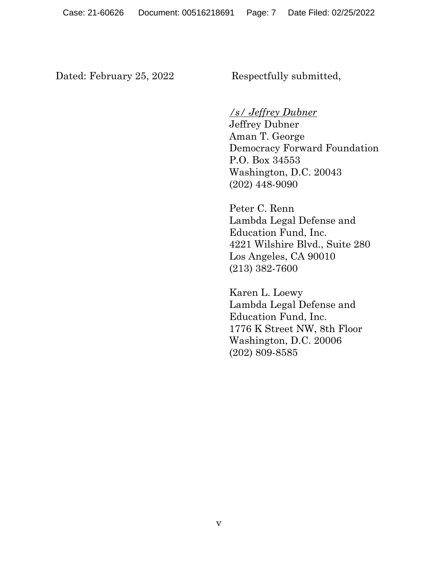Dated: February 25, 2022 Respectfully submitted,

*/s/ Jeffrey Dubner*

Jeffrey Dubner Aman T. George Democracy Forward Foundation P.O. Box 34553 Washington, D.C. 20043 (202) 448-9090

Peter C. Renn Lambda Legal Defense and Education Fund, Inc. 4221 Wilshire Blvd., Suite 280 Los Angeles, CA 90010 (213) 382-7600

Karen L. Loewy Lambda Legal Defense and Education Fund, Inc. 1776 K Street NW, 8th Floor Washington, D.C. 20006 (202) 809-8585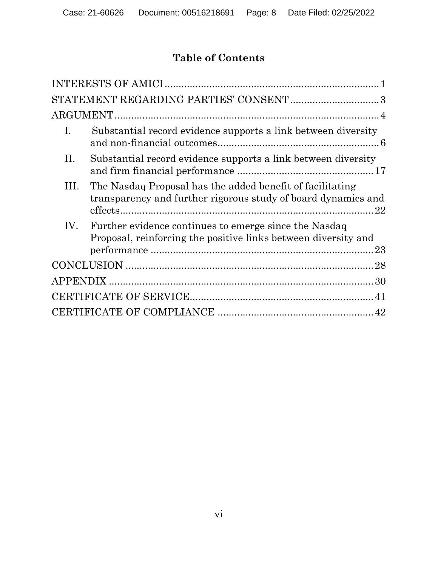# **Table of Contents**

|      | STATEMENT REGARDING PARTIES' CONSENT3                                                                                      |
|------|----------------------------------------------------------------------------------------------------------------------------|
|      |                                                                                                                            |
| Ι.   | Substantial record evidence supports a link between diversity                                                              |
| П.   | Substantial record evidence supports a link between diversity                                                              |
| III. | The Nasdaq Proposal has the added benefit of facilitating<br>transparency and further rigorous study of board dynamics and |
| IV.  | Further evidence continues to emerge since the Nasdaq<br>Proposal, reinforcing the positive links between diversity and    |
|      |                                                                                                                            |
|      |                                                                                                                            |
|      |                                                                                                                            |
|      |                                                                                                                            |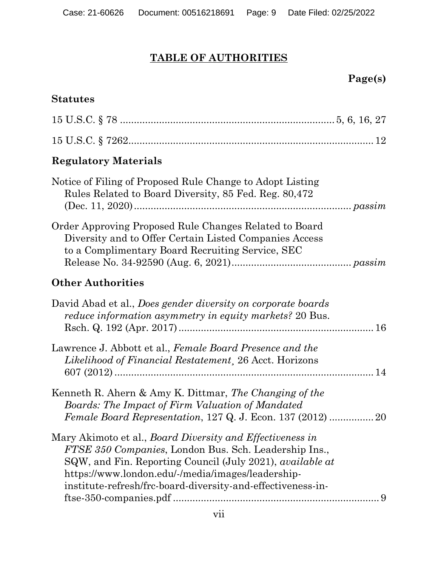# **TABLE OF AUTHORITIES**

# **Page(s)**

### **Statutes**

# **Regulatory Materials**

| Notice of Filing of Proposed Rule Change to Adopt Listing<br>Rules Related to Board Diversity, 85 Fed. Reg. 80,472                                                                                                                                                                                                     |
|------------------------------------------------------------------------------------------------------------------------------------------------------------------------------------------------------------------------------------------------------------------------------------------------------------------------|
| Order Approving Proposed Rule Changes Related to Board<br>Diversity and to Offer Certain Listed Companies Access<br>to a Complimentary Board Recruiting Service, SEC                                                                                                                                                   |
| <b>Other Authorities</b>                                                                                                                                                                                                                                                                                               |
| David Abad et al., Does gender diversity on corporate boards<br><i>reduce information asymmetry in equity markets?</i> 20 Bus.                                                                                                                                                                                         |
| Lawrence J. Abbott et al., Female Board Presence and the<br><i>Likelihood of Financial Restatement</i> , 26 Acct. Horizons                                                                                                                                                                                             |
| Kenneth R. Ahern & Amy K. Dittmar, The Changing of the<br><b>Boards: The Impact of Firm Valuation of Mandated</b>                                                                                                                                                                                                      |
| Mary Akimoto et al., <i>Board Diversity and Effectiveness in</i><br>FTSE 350 Companies, London Bus. Sch. Leadership Ins.,<br>SQW, and Fin. Reporting Council (July 2021), <i>available at</i><br>https://www.london.edu/-/media/images/leadership-<br>institute-refresh/frc-board-diversity-and-effectiveness-in-<br>9 |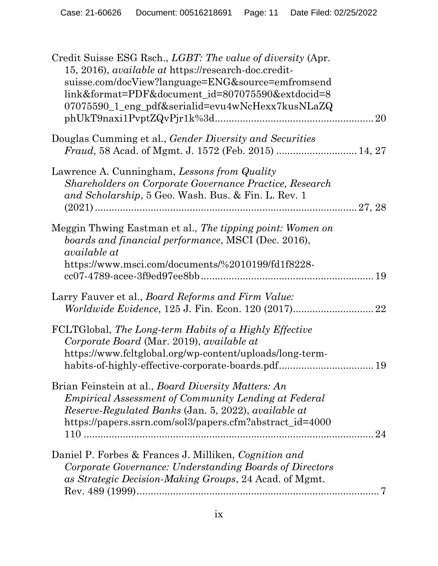| Credit Suisse ESG Rsch., <i>LGBT</i> : The value of diversity (Apr.<br>15, 2016), <i>available at</i> https://research-doc.credit-<br>suisse.com/docView?language=ENG&source=emfromsend<br>link&format=PDF&document_id=807075590&extdocid=8<br>07075590_1_eng_pdf&serialid=evu4wNcHexx7kusNLaZQ<br>$phUkT9naxi1PvptZQvPjr1k%3d$ |    |
|---------------------------------------------------------------------------------------------------------------------------------------------------------------------------------------------------------------------------------------------------------------------------------------------------------------------------------|----|
| Douglas Cumming et al., Gender Diversity and Securities                                                                                                                                                                                                                                                                         |    |
| Lawrence A. Cunningham, Lessons from Quality<br><b>Shareholders on Corporate Governance Practice, Research</b><br>and Scholarship, 5 Geo. Wash. Bus. & Fin. L. Rev. 1                                                                                                                                                           |    |
| Meggin Thwing Eastman et al., The tipping point: Women on<br>boards and financial performance, MSCI (Dec. 2016),<br><i>available at</i><br>https://www.msci.com/documents/%2010199/fd1f8228-                                                                                                                                    |    |
| Larry Fauver et al., <i>Board Reforms and Firm Value</i> :                                                                                                                                                                                                                                                                      |    |
| FCLTGlobal, The Long-term Habits of a Highly Effective<br>Corporate Board (Mar. 2019), available at<br>https://www.fcltglobal.org/wp-content/uploads/long-term-                                                                                                                                                                 |    |
| Brian Feinstein at al., <i>Board Diversity Matters: An</i><br><i>Empirical Assessment of Community Lending at Federal</i><br>Reserve-Regulated Banks (Jan. 5, 2022), available at<br>https://papers.ssrn.com/sol3/papers.cfm?abstract_id=4000                                                                                   | 24 |
| Daniel P. Forbes & Frances J. Milliken, Cognition and<br>Corporate Governance: Understanding Boards of Directors<br>as Strategic Decision-Making Groups, 24 Acad. of Mgmt.                                                                                                                                                      |    |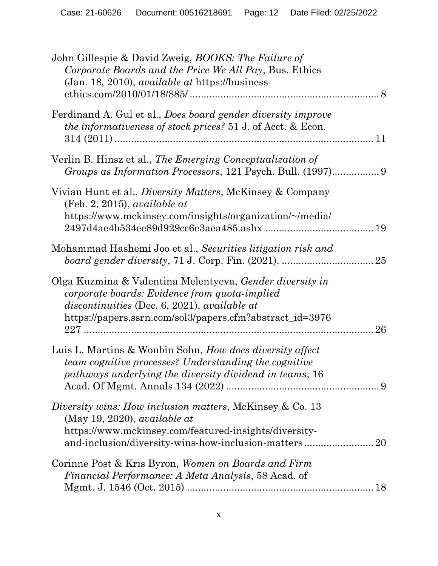| John Gillespie & David Zweig, BOOKS: The Failure of<br>Corporate Boards and the Price We All Pay, Bus. Ethics<br>(Jan. 18, 2010), available at https://business-                                                      |    |
|-----------------------------------------------------------------------------------------------------------------------------------------------------------------------------------------------------------------------|----|
| Ferdinand A. Gul et al., Does board gender diversity improve<br><i>the informativeness of stock prices?</i> 51 J. of Acct. & Econ.                                                                                    |    |
| Verlin B. Hinsz et al., The Emerging Conceptualization of                                                                                                                                                             |    |
| Vivian Hunt et al., <i>Diversity Matters</i> , McKinsey & Company<br>$(Feb. 2, 2015)$ , available at<br>https://www.mckinsey.com/insights/organization/~/media/                                                       |    |
| Mohammad Hashemi Joo et al., Securities litigation risk and                                                                                                                                                           |    |
| Olga Kuzmina & Valentina Melentyeva, Gender diversity in<br>corporate boards: Evidence from quota-implied<br>discontinuities (Dec. 6, 2021), available at<br>https://papers.ssrn.com/sol3/papers.cfm?abstract_id=3976 | 26 |
| Luis L. Martins & Wonbin Sohn, How does diversity affect<br>team cognitive processes? Understanding the cognitive<br>pathways underlying the diversity dividend in teams, 16                                          |    |
| Diversity wins: How inclusion matters, McKinsey & Co. 13<br>(May 19, 2020), <i>available at</i><br>https://www.mckinsey.com/featured-insights/diversity-                                                              |    |
| Corinne Post & Kris Byron, Women on Boards and Firm<br>Financial Performance: A Meta Analysis, 58 Acad. of                                                                                                            |    |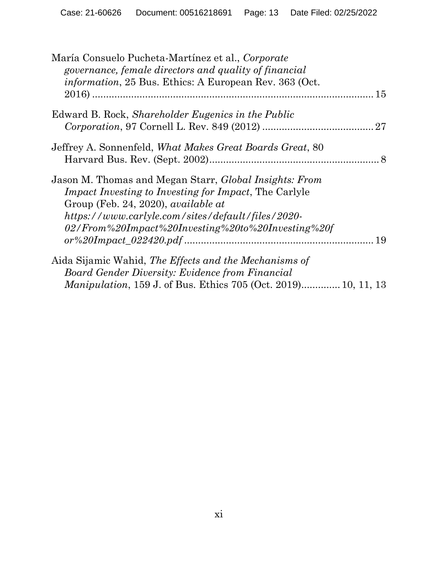| María Consuelo Pucheta-Martínez et al., Corporate<br>governance, female directors and quality of financial<br><i>information</i> , 25 Bus. Ethics: A European Rev. 363 (Oct.                                                                                                           |  |
|----------------------------------------------------------------------------------------------------------------------------------------------------------------------------------------------------------------------------------------------------------------------------------------|--|
|                                                                                                                                                                                                                                                                                        |  |
| Edward B. Rock, <i>Shareholder Eugenics in the Public</i>                                                                                                                                                                                                                              |  |
|                                                                                                                                                                                                                                                                                        |  |
| Jeffrey A. Sonnenfeld, <i>What Makes Great Boards Great</i> , 80                                                                                                                                                                                                                       |  |
| Jason M. Thomas and Megan Starr, <i>Global Insights: From</i><br><i>Impact Investing to Investing for Impact</i> , The Carlyle<br>Group (Feb. 24, 2020), <i>available at</i><br>https://www.carlyle.com/sites/default/files/2020-<br>02/From%20Impact%20Investing%20to%20Investing%20f |  |
|                                                                                                                                                                                                                                                                                        |  |
| Aida Sijamic Wahid, The Effects and the Mechanisms of<br>Board Gender Diversity: Evidence from Financial                                                                                                                                                                               |  |
| <i>Manipulation</i> , 159 J. of Bus. Ethics 705 (Oct. 2019) 10, 11, 13                                                                                                                                                                                                                 |  |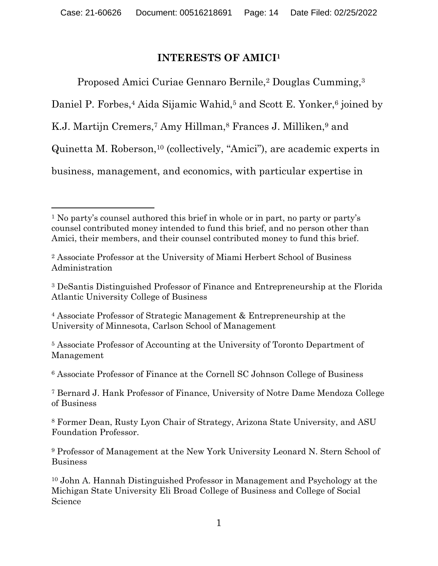#### **INTERESTS OF AMICI<sup>1</sup>**

Proposed Amici Curiae Gennaro Bernile,<sup>2</sup> Douglas Cumming,<sup>3</sup> Daniel P. Forbes,<sup>4</sup> Aida Sijamic Wahid,<sup>5</sup> and Scott E. Yonker,<sup>6</sup> joined by K.J. Martijn Cremers,<sup>7</sup> Amy Hillman,<sup>8</sup> Frances J. Milliken,<sup>9</sup> and Quinetta M. Roberson,<sup>10</sup> (collectively, "Amici"), are academic experts in business, management, and economics, with particular expertise in

<sup>4</sup> Associate Professor of Strategic Management & Entrepreneurship at the University of Minnesota, Carlson School of Management

<sup>5</sup> Associate Professor of Accounting at the University of Toronto Department of Management

<sup>6</sup> Associate Professor of Finance at the Cornell SC Johnson College of Business

<sup>7</sup> Bernard J. Hank Professor of Finance, University of Notre Dame Mendoza College of Business

<sup>8</sup> Former Dean, Rusty Lyon Chair of Strategy, Arizona State University, and ASU Foundation Professor.

<sup>9</sup> Professor of Management at the New York University Leonard N. Stern School of Business

<sup>10</sup> John A. Hannah Distinguished Professor in Management and Psychology at the Michigan State University Eli Broad College of Business and College of Social Science

<sup>1</sup> No party's counsel authored this brief in whole or in part, no party or party's counsel contributed money intended to fund this brief, and no person other than Amici, their members, and their counsel contributed money to fund this brief.

<sup>2</sup> Associate Professor at the University of Miami Herbert School of Business Administration

<sup>3</sup> DeSantis Distinguished Professor of Finance and Entrepreneurship at the Florida Atlantic University College of Business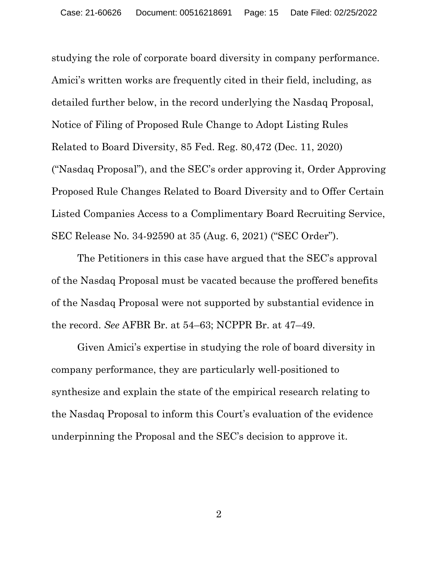studying the role of corporate board diversity in company performance. Amici's written works are frequently cited in their field, including, as detailed further below, in the record underlying the Nasdaq Proposal, Notice of Filing of Proposed Rule Change to Adopt Listing Rules Related to Board Diversity, 85 Fed. Reg. 80,472 (Dec. 11, 2020) ("Nasdaq Proposal"), and the SEC's order approving it, Order Approving Proposed Rule Changes Related to Board Diversity and to Offer Certain Listed Companies Access to a Complimentary Board Recruiting Service, SEC Release No. 34-92590 at 35 (Aug. 6, 2021) ("SEC Order").

The Petitioners in this case have argued that the SEC's approval of the Nasdaq Proposal must be vacated because the proffered benefits of the Nasdaq Proposal were not supported by substantial evidence in the record. *See* AFBR Br. at 54–63; NCPPR Br. at 47–49.

Given Amici's expertise in studying the role of board diversity in company performance, they are particularly well-positioned to synthesize and explain the state of the empirical research relating to the Nasdaq Proposal to inform this Court's evaluation of the evidence underpinning the Proposal and the SEC's decision to approve it.

2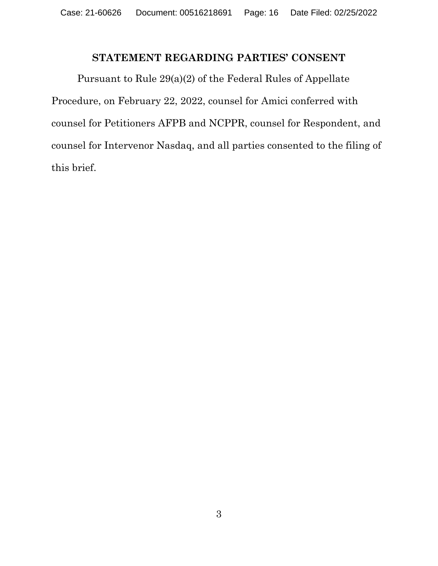### **STATEMENT REGARDING PARTIES' CONSENT**

Pursuant to Rule 29(a)(2) of the Federal Rules of Appellate Procedure, on February 22, 2022, counsel for Amici conferred with counsel for Petitioners AFPB and NCPPR, counsel for Respondent, and counsel for Intervenor Nasdaq, and all parties consented to the filing of this brief.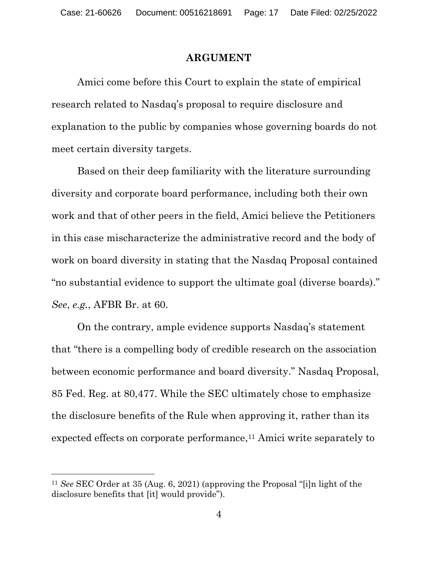#### **ARGUMENT**

Amici come before this Court to explain the state of empirical research related to Nasdaq's proposal to require disclosure and explanation to the public by companies whose governing boards do not meet certain diversity targets.

Based on their deep familiarity with the literature surrounding diversity and corporate board performance, including both their own work and that of other peers in the field, Amici believe the Petitioners in this case mischaracterize the administrative record and the body of work on board diversity in stating that the Nasdaq Proposal contained "no substantial evidence to support the ultimate goal (diverse boards)." *See*, *e.g.*, AFBR Br. at 60.

On the contrary, ample evidence supports Nasdaq's statement that "there is a compelling body of credible research on the association between economic performance and board diversity." Nasdaq Proposal, 85 Fed. Reg. at 80,477. While the SEC ultimately chose to emphasize the disclosure benefits of the Rule when approving it, rather than its expected effects on corporate performance, <sup>11</sup> Amici write separately to

<sup>11</sup> *See* SEC Order at 35 (Aug. 6, 2021) (approving the Proposal "[i]n light of the disclosure benefits that [it] would provide").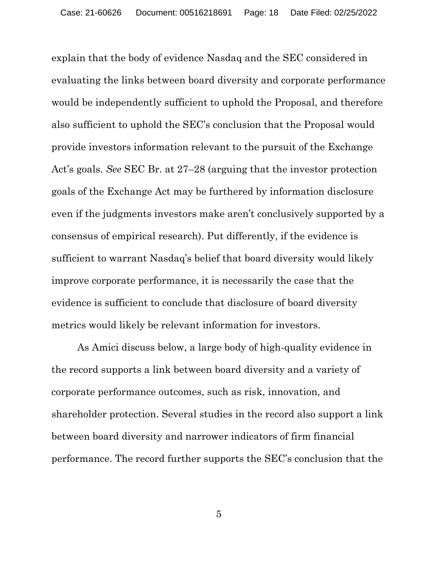explain that the body of evidence Nasdaq and the SEC considered in evaluating the links between board diversity and corporate performance would be independently sufficient to uphold the Proposal, and therefore also sufficient to uphold the SEC's conclusion that the Proposal would provide investors information relevant to the pursuit of the Exchange Act's goals. *See* SEC Br. at 27–28 (arguing that the investor protection goals of the Exchange Act may be furthered by information disclosure even if the judgments investors make aren't conclusively supported by a consensus of empirical research). Put differently, if the evidence is sufficient to warrant Nasdaq's belief that board diversity would likely improve corporate performance, it is necessarily the case that the evidence is sufficient to conclude that disclosure of board diversity metrics would likely be relevant information for investors.

As Amici discuss below, a large body of high-quality evidence in the record supports a link between board diversity and a variety of corporate performance outcomes, such as risk, innovation, and shareholder protection. Several studies in the record also support a link between board diversity and narrower indicators of firm financial performance. The record further supports the SEC's conclusion that the

5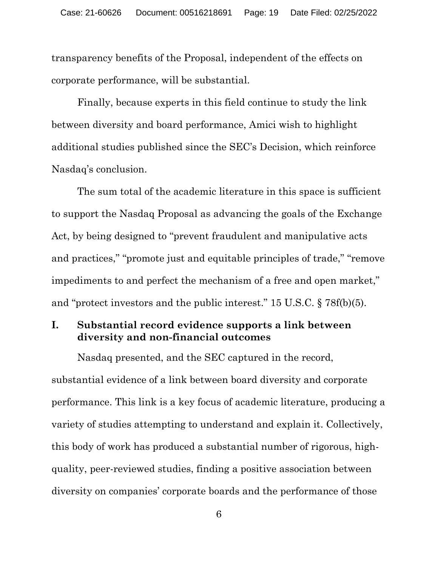transparency benefits of the Proposal, independent of the effects on corporate performance, will be substantial.

Finally, because experts in this field continue to study the link between diversity and board performance, Amici wish to highlight additional studies published since the SEC's Decision, which reinforce Nasdaq's conclusion.

The sum total of the academic literature in this space is sufficient to support the Nasdaq Proposal as advancing the goals of the Exchange Act, by being designed to "prevent fraudulent and manipulative acts and practices," "promote just and equitable principles of trade," "remove impediments to and perfect the mechanism of a free and open market," and "protect investors and the public interest." 15 U.S.C. § 78f(b)(5).

#### **I. Substantial record evidence supports a link between diversity and non-financial outcomes**

Nasdaq presented, and the SEC captured in the record, substantial evidence of a link between board diversity and corporate performance. This link is a key focus of academic literature, producing a variety of studies attempting to understand and explain it. Collectively, this body of work has produced a substantial number of rigorous, highquality, peer-reviewed studies, finding a positive association between diversity on companies' corporate boards and the performance of those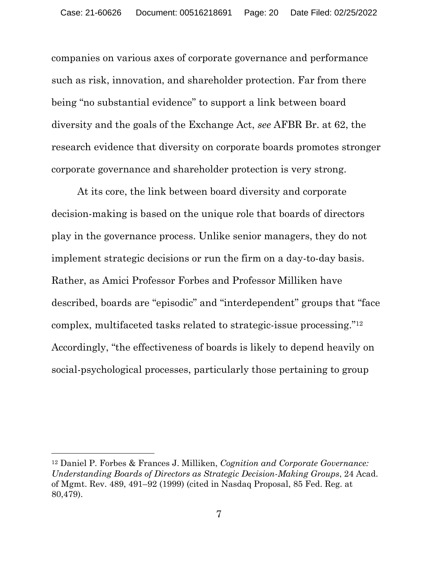companies on various axes of corporate governance and performance such as risk, innovation, and shareholder protection. Far from there being "no substantial evidence" to support a link between board diversity and the goals of the Exchange Act, *see* AFBR Br. at 62, the research evidence that diversity on corporate boards promotes stronger corporate governance and shareholder protection is very strong.

At its core, the link between board diversity and corporate decision-making is based on the unique role that boards of directors play in the governance process. Unlike senior managers, they do not implement strategic decisions or run the firm on a day-to-day basis. Rather, as Amici Professor Forbes and Professor Milliken have described, boards are "episodic" and "interdependent" groups that "face complex, multifaceted tasks related to strategic-issue processing."<sup>12</sup> Accordingly, "the effectiveness of boards is likely to depend heavily on social-psychological processes, particularly those pertaining to group

<sup>12</sup> Daniel P. Forbes & Frances J. Milliken, *Cognition and Corporate Governance: Understanding Boards of Directors as Strategic Decision-Making Groups*, 24 Acad. of Mgmt. Rev. 489, 491–92 (1999) (cited in Nasdaq Proposal, 85 Fed. Reg. at 80,479).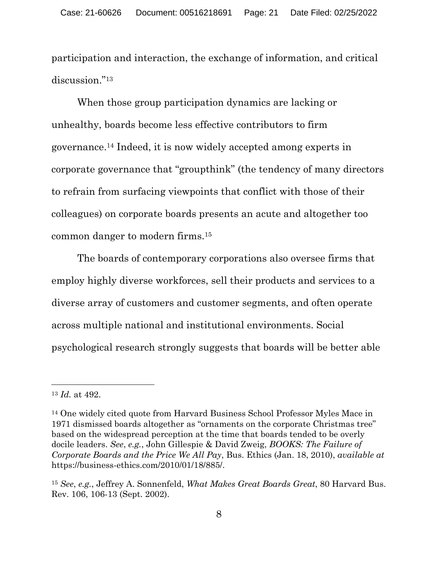participation and interaction, the exchange of information, and critical discussion."<sup>13</sup>

When those group participation dynamics are lacking or unhealthy, boards become less effective contributors to firm governance. <sup>14</sup> Indeed, it is now widely accepted among experts in corporate governance that "groupthink" (the tendency of many directors to refrain from surfacing viewpoints that conflict with those of their colleagues) on corporate boards presents an acute and altogether too common danger to modern firms.<sup>15</sup>

The boards of contemporary corporations also oversee firms that employ highly diverse workforces, sell their products and services to a diverse array of customers and customer segments, and often operate across multiple national and institutional environments. Social psychological research strongly suggests that boards will be better able

<sup>13</sup> *Id.* at 492.

<sup>14</sup> One widely cited quote from Harvard Business School Professor Myles Mace in 1971 dismissed boards altogether as "ornaments on the corporate Christmas tree" based on the widespread perception at the time that boards tended to be overly docile leaders. *See*, *e.g.*, John Gillespie & David Zweig, *BOOKS: The Failure of Corporate Boards and the Price We All Pay*, Bus. Ethics (Jan. 18, 2010), *available at* https://business-ethics.com/2010/01/18/885/.

<sup>15</sup> *See*, *e.g.*, Jeffrey A. Sonnenfeld, *What Makes Great Boards Great*, 80 Harvard Bus. Rev. 106, 106-13 (Sept. 2002).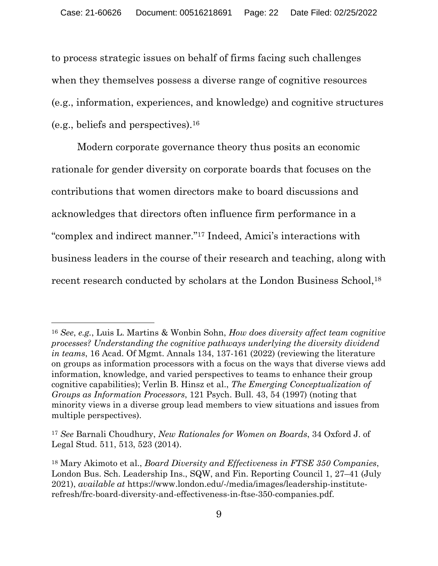to process strategic issues on behalf of firms facing such challenges when they themselves possess a diverse range of cognitive resources (e.g., information, experiences, and knowledge) and cognitive structures (e.g., beliefs and perspectives).<sup>16</sup>

Modern corporate governance theory thus posits an economic rationale for gender diversity on corporate boards that focuses on the contributions that women directors make to board discussions and acknowledges that directors often influence firm performance in a "complex and indirect manner."<sup>17</sup> Indeed, Amici's interactions with business leaders in the course of their research and teaching, along with recent research conducted by scholars at the London Business School,<sup>18</sup>

<sup>16</sup> *See*, *e.g.*, Luis L. Martins & Wonbin Sohn, *How does diversity affect team cognitive processes? Understanding the cognitive pathways underlying the diversity dividend in teams*, 16 Acad. Of Mgmt. Annals 134, 137-161 (2022) (reviewing the literature on groups as information processors with a focus on the ways that diverse views add information, knowledge, and varied perspectives to teams to enhance their group cognitive capabilities); Verlin B. Hinsz et al., *The Emerging Conceptualization of Groups as Information Processors*, 121 Psych. Bull. 43, 54 (1997) (noting that minority views in a diverse group lead members to view situations and issues from multiple perspectives).

<sup>17</sup> *See* Barnali Choudhury, *New Rationales for Women on Boards*, 34 Oxford J. of Legal Stud. 511, 513, 523 (2014).

<sup>18</sup> Mary Akimoto et al., *Board Diversity and Effectiveness in FTSE 350 Companies*, London Bus. Sch. Leadership Ins., SQW, and Fin. Reporting Council 1, 27–41 (July 2021), *available at* https://www.london.edu/-/media/images/leadership-instituterefresh/frc-board-diversity-and-effectiveness-in-ftse-350-companies.pdf.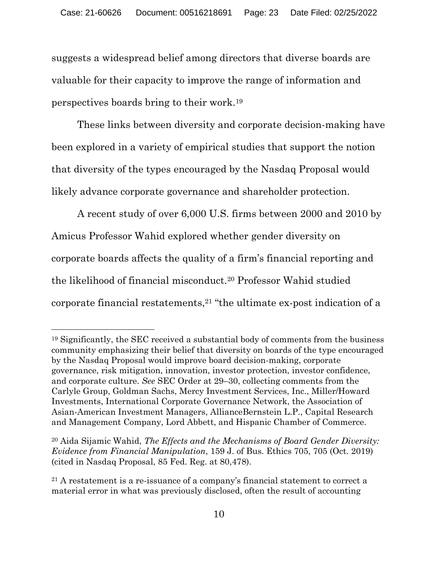suggests a widespread belief among directors that diverse boards are valuable for their capacity to improve the range of information and perspectives boards bring to their work.<sup>19</sup>

These links between diversity and corporate decision-making have been explored in a variety of empirical studies that support the notion that diversity of the types encouraged by the Nasdaq Proposal would likely advance corporate governance and shareholder protection.

A recent study of over 6,000 U.S. firms between 2000 and 2010 by Amicus Professor Wahid explored whether gender diversity on corporate boards affects the quality of a firm's financial reporting and the likelihood of financial misconduct.<sup>20</sup> Professor Wahid studied corporate financial restatements,<sup>21</sup> "the ultimate ex-post indication of a

<sup>19</sup> Significantly, the SEC received a substantial body of comments from the business community emphasizing their belief that diversity on boards of the type encouraged by the Nasdaq Proposal would improve board decision-making, corporate governance, risk mitigation, innovation, investor protection, investor confidence, and corporate culture. *See* SEC Order at 29–30, collecting comments from the Carlyle Group, Goldman Sachs, Mercy Investment Services, Inc., Miller/Howard Investments, International Corporate Governance Network, the Association of Asian-American Investment Managers, AllianceBernstein L.P., Capital Research and Management Company, Lord Abbett, and Hispanic Chamber of Commerce.

<sup>20</sup> Aida Sijamic Wahid, *The Effects and the Mechanisms of Board Gender Diversity: Evidence from Financial Manipulation*, 159 J. of Bus. Ethics 705, 705 (Oct. 2019) (cited in Nasdaq Proposal, 85 Fed. Reg. at 80,478).

<sup>21</sup> A restatement is a re-issuance of a company's financial statement to correct a material error in what was previously disclosed, often the result of accounting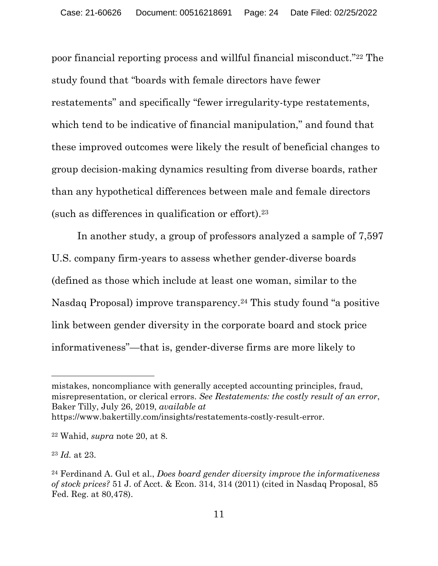poor financial reporting process and willful financial misconduct."<sup>22</sup> The study found that "boards with female directors have fewer restatements" and specifically "fewer irregularity-type restatements, which tend to be indicative of financial manipulation," and found that these improved outcomes were likely the result of beneficial changes to group decision-making dynamics resulting from diverse boards, rather than any hypothetical differences between male and female directors (such as differences in qualification or effort).<sup>23</sup>

In another study, a group of professors analyzed a sample of 7,597 U.S. company firm-years to assess whether gender-diverse boards (defined as those which include at least one woman, similar to the Nasdaq Proposal) improve transparency.<sup>24</sup> This study found "a positive link between gender diversity in the corporate board and stock price informativeness"—that is, gender-diverse firms are more likely to

mistakes, noncompliance with generally accepted accounting principles, fraud, misrepresentation, or clerical errors. *See Restatements: the costly result of an error*, Baker Tilly, July 26, 2019, *available at* https://www.bakertilly.com/insights/restatements-costly-result-error.

<sup>22</sup> Wahid, *supra* note 20, at 8.

<sup>23</sup> *Id.* at 23.

<sup>24</sup> Ferdinand A. Gul et al., *Does board gender diversity improve the informativeness of stock prices?* 51 J. of Acct. & Econ. 314, 314 (2011) (cited in Nasdaq Proposal, 85 Fed. Reg. at 80,478).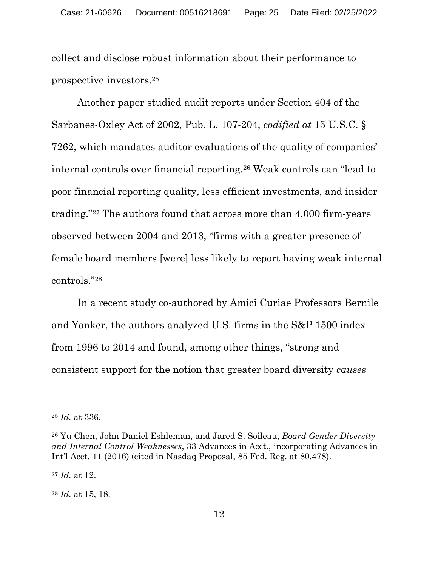collect and disclose robust information about their performance to prospective investors. 25

Another paper studied audit reports under Section 404 of the Sarbanes-Oxley Act of 2002, Pub. L. 107-204, *codified at* 15 U.S.C. § 7262, which mandates auditor evaluations of the quality of companies' internal controls over financial reporting.<sup>26</sup> Weak controls can "lead to poor financial reporting quality, less efficient investments, and insider trading." <sup>27</sup> The authors found that across more than 4,000 firm-years observed between 2004 and 2013, "firms with a greater presence of female board members [were] less likely to report having weak internal controls."<sup>28</sup>

In a recent study co-authored by Amici Curiae Professors Bernile and Yonker, the authors analyzed U.S. firms in the S&P 1500 index from 1996 to 2014 and found, among other things, "strong and consistent support for the notion that greater board diversity *causes*

<sup>25</sup> *Id.* at 336.

<sup>26</sup> Yu Chen, John Daniel Eshleman, and Jared S. Soileau, *Board Gender Diversity and Internal Control Weaknesses*, 33 Advances in Acct., incorporating Advances in Int'l Acct. 11 (2016) (cited in Nasdaq Proposal, 85 Fed. Reg. at 80,478).

<sup>27</sup> *Id.* at 12.

<sup>28</sup> *Id.* at 15, 18.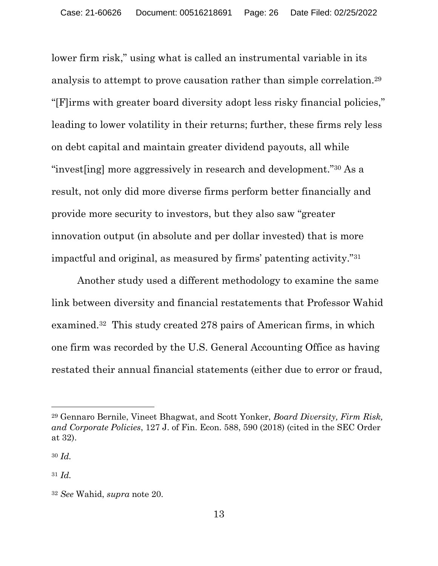lower firm risk," using what is called an instrumental variable in its analysis to attempt to prove causation rather than simple correlation.<sup>29</sup> "[F]irms with greater board diversity adopt less risky financial policies," leading to lower volatility in their returns; further, these firms rely less on debt capital and maintain greater dividend payouts, all while "invest[ing] more aggressively in research and development."<sup>30</sup> As a result, not only did more diverse firms perform better financially and provide more security to investors, but they also saw "greater innovation output (in absolute and per dollar invested) that is more impactful and original, as measured by firms' patenting activity."<sup>31</sup>

Another study used a different methodology to examine the same link between diversity and financial restatements that Professor Wahid examined.32 This study created 278 pairs of American firms, in which one firm was recorded by the U.S. General Accounting Office as having restated their annual financial statements (either due to error or fraud,

<sup>29</sup> Gennaro Bernile, Vineet Bhagwat, and Scott Yonker, *Board Diversity, Firm Risk, and Corporate Policies*, 127 J. of Fin. Econ. 588, 590 (2018) (cited in the SEC Order at 32).

<sup>30</sup> *Id.*

<sup>31</sup> *Id.*

<sup>32</sup> *See* Wahid, *supra* note 20.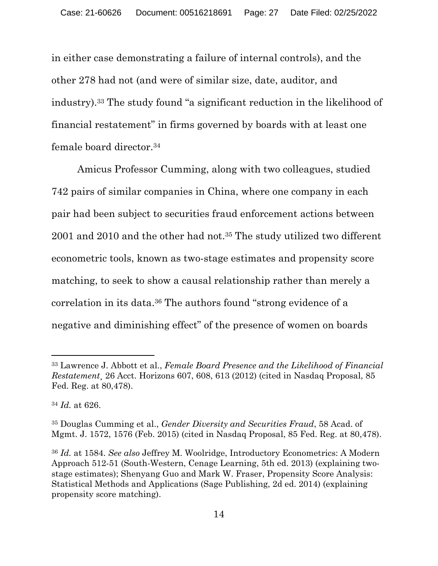in either case demonstrating a failure of internal controls), and the other 278 had not (and were of similar size, date, auditor, and industry).<sup>33</sup> The study found "a significant reduction in the likelihood of financial restatement" in firms governed by boards with at least one female board director.<sup>34</sup>

Amicus Professor Cumming, along with two colleagues, studied 742 pairs of similar companies in China, where one company in each pair had been subject to securities fraud enforcement actions between 2001 and 2010 and the other had not.<sup>35</sup> The study utilized two different econometric tools, known as two-stage estimates and propensity score matching, to seek to show a causal relationship rather than merely a correlation in its data.<sup>36</sup> The authors found "strong evidence of a negative and diminishing effect" of the presence of women on boards

<sup>33</sup> Lawrence J. Abbott et al., *Female Board Presence and the Likelihood of Financial Restatement*¸ 26 Acct. Horizons 607, 608, 613 (2012) (cited in Nasdaq Proposal, 85 Fed. Reg. at 80,478).

<sup>34</sup> *Id.* at 626.

<sup>35</sup> Douglas Cumming et al., *Gender Diversity and Securities Fraud*, 58 Acad. of Mgmt. J. 1572, 1576 (Feb. 2015) (cited in Nasdaq Proposal, 85 Fed. Reg. at 80,478).

<sup>36</sup> *Id.* at 1584. *See also* Jeffrey M. Woolridge, Introductory Econometrics: A Modern Approach 512-51 (South-Western, Cenage Learning, 5th ed. 2013) (explaining twostage estimates); Shenyang Guo and Mark W. Fraser, Propensity Score Analysis: Statistical Methods and Applications (Sage Publishing, 2d ed. 2014) (explaining propensity score matching).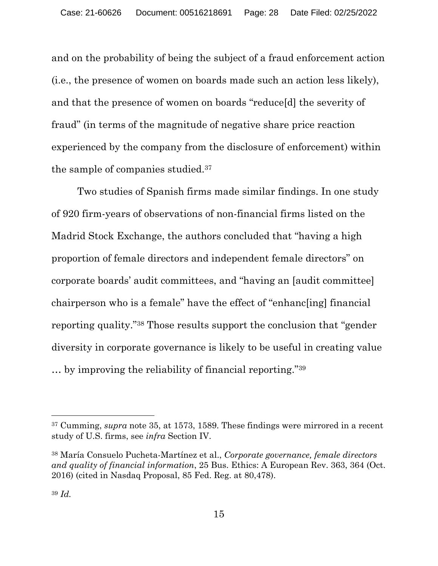and on the probability of being the subject of a fraud enforcement action (i.e., the presence of women on boards made such an action less likely), and that the presence of women on boards "reduce[d] the severity of fraud" (in terms of the magnitude of negative share price reaction experienced by the company from the disclosure of enforcement) within the sample of companies studied.<sup>37</sup>

Two studies of Spanish firms made similar findings. In one study of 920 firm-years of observations of non-financial firms listed on the Madrid Stock Exchange, the authors concluded that "having a high proportion of female directors and independent female directors" on corporate boards' audit committees, and "having an [audit committee] chairperson who is a female" have the effect of "enhanc[ing] financial reporting quality."<sup>38</sup> Those results support the conclusion that "gender diversity in corporate governance is likely to be useful in creating value … by improving the reliability of financial reporting."<sup>39</sup>

<sup>37</sup> Cumming, *supra* note 35, at 1573, 1589. These findings were mirrored in a recent study of U.S. firms, see *infra* Section IV.

<sup>38</sup> María Consuelo Pucheta-Martínez et al., *Corporate governance, female directors and quality of financial information*, 25 Bus. Ethics: A European Rev. 363, 364 (Oct. 2016) (cited in Nasdaq Proposal, 85 Fed. Reg. at 80,478).

<sup>39</sup> *Id.*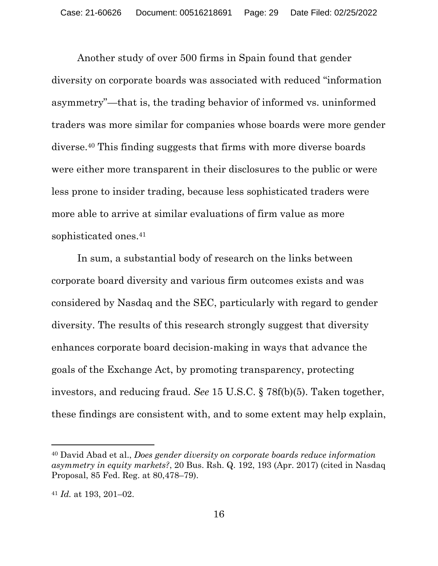Another study of over 500 firms in Spain found that gender diversity on corporate boards was associated with reduced "information asymmetry"—that is, the trading behavior of informed vs. uninformed traders was more similar for companies whose boards were more gender diverse. <sup>40</sup> This finding suggests that firms with more diverse boards were either more transparent in their disclosures to the public or were less prone to insider trading, because less sophisticated traders were more able to arrive at similar evaluations of firm value as more sophisticated ones. 41

In sum, a substantial body of research on the links between corporate board diversity and various firm outcomes exists and was considered by Nasdaq and the SEC, particularly with regard to gender diversity. The results of this research strongly suggest that diversity enhances corporate board decision-making in ways that advance the goals of the Exchange Act, by promoting transparency, protecting investors, and reducing fraud. *See* 15 U.S.C. § 78f(b)(5). Taken together, these findings are consistent with, and to some extent may help explain,

<sup>40</sup> David Abad et al., *Does gender diversity on corporate boards reduce information asymmetry in equity markets?*, 20 Bus. Rsh. Q. 192, 193 (Apr. 2017) (cited in Nasdaq Proposal, 85 Fed. Reg. at 80,478–79).

<sup>41</sup> *Id.* at 193, 201–02.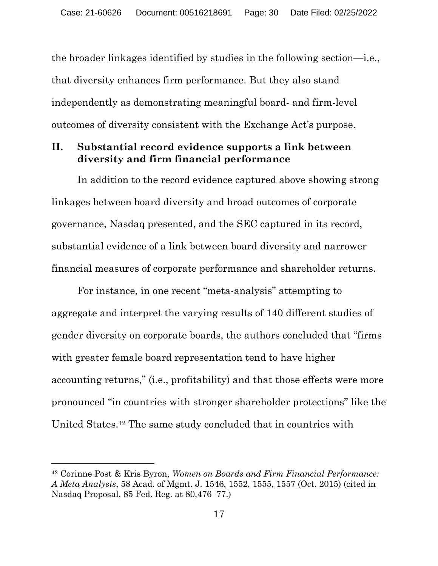the broader linkages identified by studies in the following section—i.e., that diversity enhances firm performance. But they also stand independently as demonstrating meaningful board- and firm-level outcomes of diversity consistent with the Exchange Act's purpose.

#### **II. Substantial record evidence supports a link between diversity and firm financial performance**

In addition to the record evidence captured above showing strong linkages between board diversity and broad outcomes of corporate governance, Nasdaq presented, and the SEC captured in its record, substantial evidence of a link between board diversity and narrower financial measures of corporate performance and shareholder returns.

For instance, in one recent "meta-analysis" attempting to aggregate and interpret the varying results of 140 different studies of gender diversity on corporate boards, the authors concluded that "firms with greater female board representation tend to have higher accounting returns," (i.e., profitability) and that those effects were more pronounced "in countries with stronger shareholder protections" like the United States.<sup>42</sup> The same study concluded that in countries with

<sup>42</sup> Corinne Post & Kris Byron, *Women on Boards and Firm Financial Performance: A Meta Analysis*, 58 Acad. of Mgmt. J. 1546, 1552, 1555, 1557 (Oct. 2015) (cited in Nasdaq Proposal, 85 Fed. Reg. at 80,476–77.)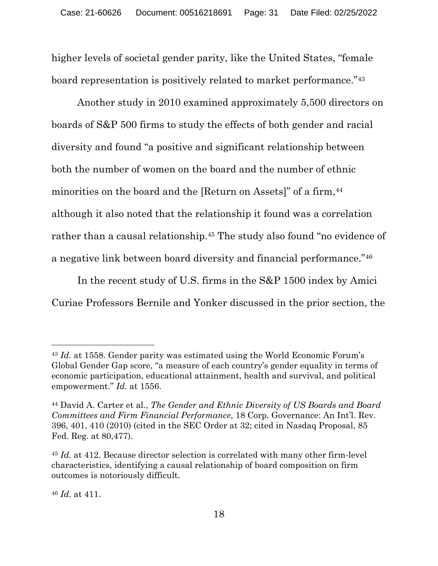higher levels of societal gender parity, like the United States, "female board representation is positively related to market performance."<sup>43</sup>

Another study in 2010 examined approximately 5,500 directors on boards of S&P 500 firms to study the effects of both gender and racial diversity and found "a positive and significant relationship between both the number of women on the board and the number of ethnic minorities on the board and the [Return on Assets]" of a firm, 44 although it also noted that the relationship it found was a correlation rather than a causal relationship.<sup>45</sup> The study also found "no evidence of a negative link between board diversity and financial performance."<sup>46</sup>

In the recent study of U.S. firms in the S&P 1500 index by Amici Curiae Professors Bernile and Yonker discussed in the prior section, the

<sup>46</sup> *Id.* at 411.

<sup>43</sup> *Id.* at 1558. Gender parity was estimated using the World Economic Forum's Global Gender Gap score, "a measure of each country's gender equality in terms of economic participation, educational attainment, health and survival, and political empowerment." *Id.* at 1556.

<sup>44</sup> David A. Carter et al., *The Gender and Ethnic Diversity of US Boards and Board Committees and Firm Financial Performance*, 18 Corp. Governance: An Int'l. Rev. 396, 401, 410 (2010) (cited in the SEC Order at 32; cited in Nasdaq Proposal, 85 Fed. Reg. at 80,477).

<sup>45</sup> *Id.* at 412. Because director selection is correlated with many other firm-level characteristics, identifying a causal relationship of board composition on firm outcomes is notoriously difficult.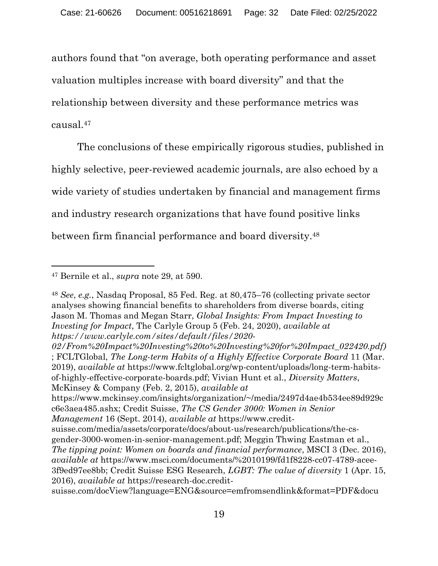authors found that "on average, both operating performance and asset valuation multiples increase with board diversity" and that the relationship between diversity and these performance metrics was causal.<sup>47</sup>

The conclusions of these empirically rigorous studies, published in highly selective, peer-reviewed academic journals, are also echoed by a wide variety of studies undertaken by financial and management firms and industry research organizations that have found positive links between firm financial performance and board diversity.<sup>48</sup>

https://www.mckinsey.com/insights/organization/~/media/2497d4ae4b534ee89d929c c6e3aea485.ashx; Credit Suisse, *The CS Gender 3000: Women in Senior Management* 16 (Sept. 2014), *available at* https://www.credit-

<sup>47</sup> Bernile et al., *supra* note 29, at 590.

<sup>48</sup> *See*, *e.g.*, Nasdaq Proposal, 85 Fed. Reg. at 80,475–76 (collecting private sector analyses showing financial benefits to shareholders from diverse boards, citing Jason M. Thomas and Megan Starr, *Global Insights: From Impact Investing to Investing for Impact*, The Carlyle Group 5 (Feb. 24, 2020), *available at https://www.carlyle.com/sites/default/files/2020-*

*<sup>02/</sup>From%20Impact%20Investing%20to%20Investing%20for%20Impact\_022420.pdf)* ; FCLTGlobal, *The Long-term Habits of a Highly Effective Corporate Board* 11 (Mar. 2019), *available at* https://www.fcltglobal.org/wp-content/uploads/long-term-habitsof-highly-effective-corporate-boards.pdf; Vivian Hunt et al., *Diversity Matters*, McKinsey & Company (Feb. 2, 2015), *available at*

suisse.com/media/assets/corporate/docs/about-us/research/publications/the-csgender-3000-women-in-senior-management.pdf; Meggin Thwing Eastman et al., *The tipping point: Women on boards and financial performance*, MSCI 3 (Dec. 2016), *available at* https://www.msci.com/documents/%2010199/fd1f8228-cc07-4789-acee-3f9ed97ee8bb; Credit Suisse ESG Research, *LGBT: The value of diversity* 1 (Apr. 15, 2016), *available at* https://research-doc.credit-

suisse.com/docView?language=ENG&source=emfromsendlink&format=PDF&docu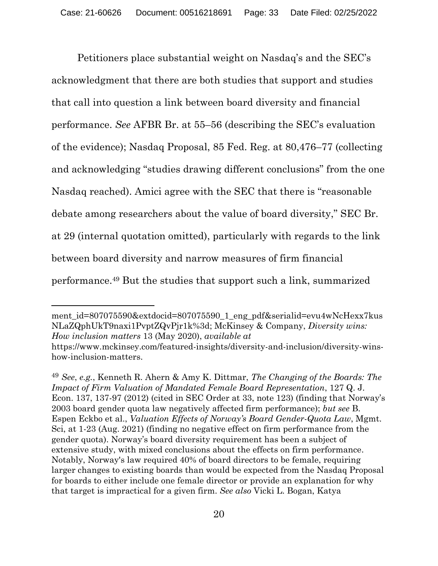Petitioners place substantial weight on Nasdaq's and the SEC's acknowledgment that there are both studies that support and studies that call into question a link between board diversity and financial performance. *See* AFBR Br. at 55–56 (describing the SEC's evaluation of the evidence); Nasdaq Proposal, 85 Fed. Reg. at 80,476–77 (collecting and acknowledging "studies drawing different conclusions" from the one Nasdaq reached). Amici agree with the SEC that there is "reasonable debate among researchers about the value of board diversity," SEC Br. at 29 (internal quotation omitted), particularly with regards to the link between board diversity and narrow measures of firm financial performance. <sup>49</sup> But the studies that support such a link, summarized

ment id=807075590&extdocid=807075590\_1\_eng\_pdf&serialid=evu4wNcHexx7kus NLaZQphUkT9naxi1PvptZQvPjr1k%3d; McKinsey & Company, *Diversity wins: How inclusion matters* 13 (May 2020), *available at*

<sup>49</sup> *See*, *e.g.*, Kenneth R. Ahern & Amy K. Dittmar, *The Changing of the Boards: The Impact of Firm Valuation of Mandated Female Board Representation*, 127 Q. J. Econ. 137, 137-97 (2012) (cited in SEC Order at 33, note 123) (finding that Norway's 2003 board gender quota law negatively affected firm performance); *but see* B. Espen Eckbo et al., *Valuation Effects of Norway's Board Gender-Quota Law*, Mgmt. Sci, at 1-23 (Aug. 2021) (finding no negative effect on firm performance from the gender quota). Norway's board diversity requirement has been a subject of extensive study, with mixed conclusions about the effects on firm performance. Notably, Norway's law required 40% of board directors to be female, requiring larger changes to existing boards than would be expected from the Nasdaq Proposal for boards to either include one female director or provide an explanation for why that target is impractical for a given firm. *See also* Vicki L. Bogan, Katya

https://www.mckinsey.com/featured-insights/diversity-and-inclusion/diversity-winshow-inclusion-matters.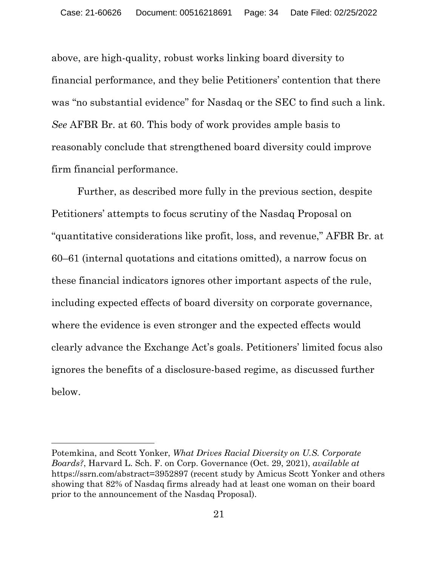above, are high-quality, robust works linking board diversity to financial performance, and they belie Petitioners' contention that there was "no substantial evidence" for Nasdaq or the SEC to find such a link. *See* AFBR Br. at 60. This body of work provides ample basis to reasonably conclude that strengthened board diversity could improve firm financial performance.

Further, as described more fully in the previous section, despite Petitioners' attempts to focus scrutiny of the Nasdaq Proposal on "quantitative considerations like profit, loss, and revenue," AFBR Br. at 60–61 (internal quotations and citations omitted), a narrow focus on these financial indicators ignores other important aspects of the rule, including expected effects of board diversity on corporate governance, where the evidence is even stronger and the expected effects would clearly advance the Exchange Act's goals. Petitioners' limited focus also ignores the benefits of a disclosure-based regime, as discussed further below.

Potemkina, and Scott Yonker, *What Drives Racial Diversity on U.S. Corporate Boards?*, Harvard L. Sch. F. on Corp. Governance (Oct. 29, 2021), *available at* https://ssrn.com/abstract=3952897 (recent study by Amicus Scott Yonker and others showing that 82% of Nasdaq firms already had at least one woman on their board prior to the announcement of the Nasdaq Proposal).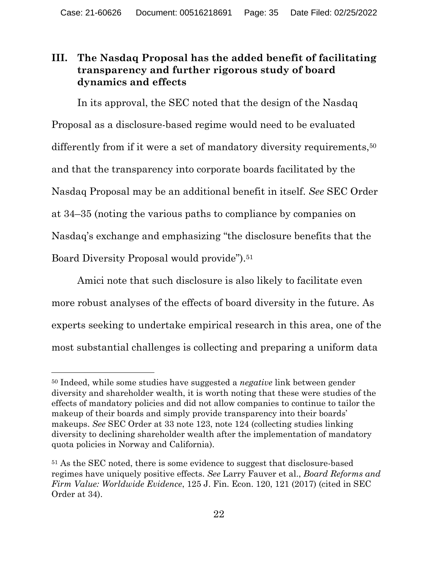### **III. The Nasdaq Proposal has the added benefit of facilitating transparency and further rigorous study of board dynamics and effects**

In its approval, the SEC noted that the design of the Nasdaq Proposal as a disclosure-based regime would need to be evaluated differently from if it were a set of mandatory diversity requirements,<sup>50</sup> and that the transparency into corporate boards facilitated by the Nasdaq Proposal may be an additional benefit in itself. *See* SEC Order at 34–35 (noting the various paths to compliance by companies on Nasdaq's exchange and emphasizing "the disclosure benefits that the Board Diversity Proposal would provide").<sup>51</sup>

Amici note that such disclosure is also likely to facilitate even more robust analyses of the effects of board diversity in the future. As experts seeking to undertake empirical research in this area, one of the most substantial challenges is collecting and preparing a uniform data

<sup>50</sup> Indeed, while some studies have suggested a *negative* link between gender diversity and shareholder wealth, it is worth noting that these were studies of the effects of mandatory policies and did not allow companies to continue to tailor the makeup of their boards and simply provide transparency into their boards' makeups. *See* SEC Order at 33 note 123, note 124 (collecting studies linking diversity to declining shareholder wealth after the implementation of mandatory quota policies in Norway and California).

<sup>51</sup> As the SEC noted, there is some evidence to suggest that disclosure-based regimes have uniquely positive effects. *See* Larry Fauver et al., *Board Reforms and Firm Value: Worldwide Evidence*, 125 J. Fin. Econ. 120, 121 (2017) (cited in SEC Order at 34).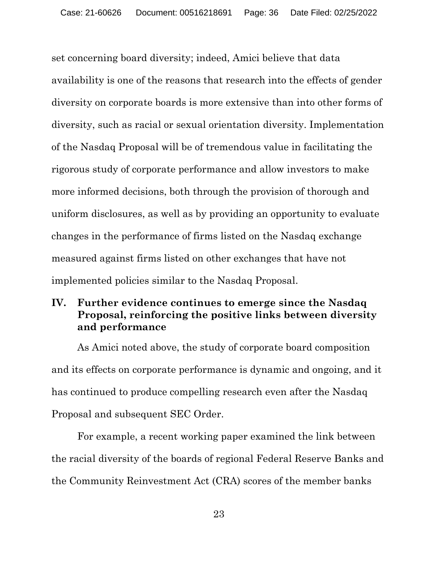set concerning board diversity; indeed, Amici believe that data availability is one of the reasons that research into the effects of gender diversity on corporate boards is more extensive than into other forms of diversity, such as racial or sexual orientation diversity. Implementation of the Nasdaq Proposal will be of tremendous value in facilitating the rigorous study of corporate performance and allow investors to make more informed decisions, both through the provision of thorough and uniform disclosures, as well as by providing an opportunity to evaluate changes in the performance of firms listed on the Nasdaq exchange measured against firms listed on other exchanges that have not implemented policies similar to the Nasdaq Proposal.

#### **IV. Further evidence continues to emerge since the Nasdaq Proposal, reinforcing the positive links between diversity and performance**

As Amici noted above, the study of corporate board composition and its effects on corporate performance is dynamic and ongoing, and it has continued to produce compelling research even after the Nasdaq Proposal and subsequent SEC Order.

For example, a recent working paper examined the link between the racial diversity of the boards of regional Federal Reserve Banks and the Community Reinvestment Act (CRA) scores of the member banks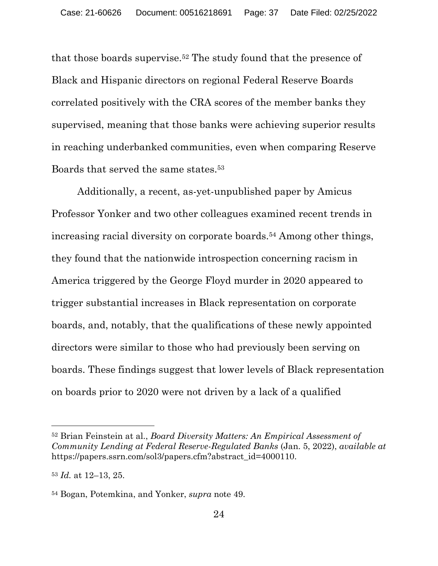that those boards supervise.<sup>52</sup> The study found that the presence of Black and Hispanic directors on regional Federal Reserve Boards correlated positively with the CRA scores of the member banks they supervised, meaning that those banks were achieving superior results in reaching underbanked communities, even when comparing Reserve Boards that served the same states.<sup>53</sup>

Additionally, a recent, as-yet-unpublished paper by Amicus Professor Yonker and two other colleagues examined recent trends in increasing racial diversity on corporate boards.<sup>54</sup> Among other things, they found that the nationwide introspection concerning racism in America triggered by the George Floyd murder in 2020 appeared to trigger substantial increases in Black representation on corporate boards, and, notably, that the qualifications of these newly appointed directors were similar to those who had previously been serving on boards. These findings suggest that lower levels of Black representation on boards prior to 2020 were not driven by a lack of a qualified

<sup>52</sup> Brian Feinstein at al., *Board Diversity Matters: An Empirical Assessment of Community Lending at Federal Reserve-Regulated Banks* (Jan. 5, 2022), *available at* https://papers.ssrn.com/sol3/papers.cfm?abstract\_id=4000110.

<sup>53</sup> *Id.* at 12–13, 25.

<sup>54</sup> Bogan, Potemkina, and Yonker, *supra* note 49.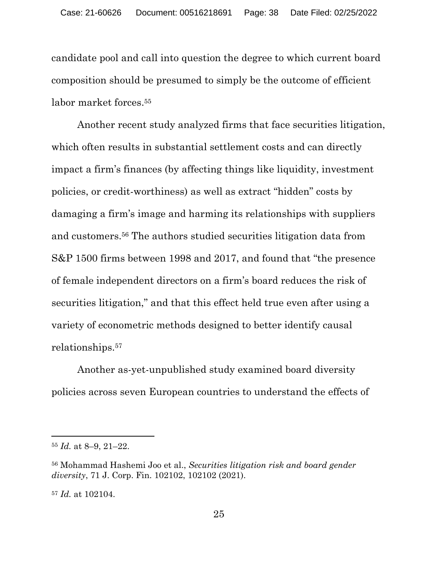candidate pool and call into question the degree to which current board composition should be presumed to simply be the outcome of efficient labor market forces. 55

Another recent study analyzed firms that face securities litigation, which often results in substantial settlement costs and can directly impact a firm's finances (by affecting things like liquidity, investment policies, or credit-worthiness) as well as extract "hidden" costs by damaging a firm's image and harming its relationships with suppliers and customers.<sup>56</sup> The authors studied securities litigation data from S&P 1500 firms between 1998 and 2017, and found that "the presence of female independent directors on a firm's board reduces the risk of securities litigation," and that this effect held true even after using a variety of econometric methods designed to better identify causal relationships.<sup>57</sup>

Another as-yet-unpublished study examined board diversity policies across seven European countries to understand the effects of

<sup>55</sup> *Id.* at 8–9, 21–22.

<sup>56</sup> Mohammad Hashemi Joo et al., *Securities litigation risk and board gender diversity*, 71 J. Corp. Fin. 102102, 102102 (2021).

<sup>57</sup> *Id.* at 102104.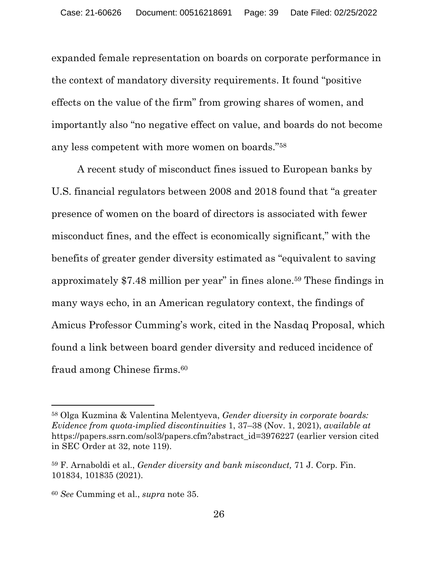expanded female representation on boards on corporate performance in the context of mandatory diversity requirements. It found "positive effects on the value of the firm" from growing shares of women, and importantly also "no negative effect on value, and boards do not become any less competent with more women on boards."<sup>58</sup>

A recent study of misconduct fines issued to European banks by U.S. financial regulators between 2008 and 2018 found that "a greater presence of women on the board of directors is associated with fewer misconduct fines, and the effect is economically significant," with the benefits of greater gender diversity estimated as "equivalent to saving approximately \$7.48 million per year" in fines alone.<sup>59</sup> These findings in many ways echo, in an American regulatory context, the findings of Amicus Professor Cumming's work, cited in the Nasdaq Proposal, which found a link between board gender diversity and reduced incidence of fraud among Chinese firms.<sup>60</sup>

<sup>58</sup> Olga Kuzmina & Valentina Melentyeva, *Gender diversity in corporate boards: Evidence from quota-implied discontinuities* 1, 37–38 (Nov. 1, 2021), *available at* https://papers.ssrn.com/sol3/papers.cfm?abstract\_id=3976227 (earlier version cited in SEC Order at 32, note 119).

<sup>59</sup> F. Arnaboldi et al., *Gender diversity and bank misconduct,* 71 J. Corp. Fin. 101834, 101835 (2021).

<sup>60</sup> *See* Cumming et al., *supra* note 35.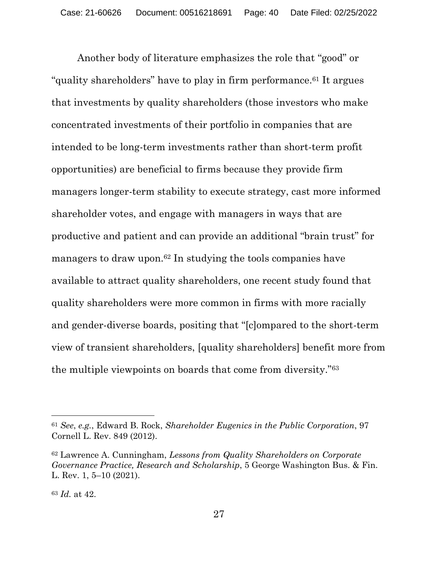Another body of literature emphasizes the role that "good" or "quality shareholders" have to play in firm performance. <sup>61</sup> It argues that investments by quality shareholders (those investors who make concentrated investments of their portfolio in companies that are intended to be long-term investments rather than short-term profit opportunities) are beneficial to firms because they provide firm managers longer-term stability to execute strategy, cast more informed shareholder votes, and engage with managers in ways that are productive and patient and can provide an additional "brain trust" for managers to draw upon.<sup>62</sup> In studying the tools companies have available to attract quality shareholders, one recent study found that quality shareholders were more common in firms with more racially and gender-diverse boards, positing that "[c]ompared to the short-term view of transient shareholders, [quality shareholders] benefit more from the multiple viewpoints on boards that come from diversity."<sup>63</sup>

<sup>61</sup> *See*, *e.g.*, Edward B. Rock, *Shareholder Eugenics in the Public Corporation*, 97 Cornell L. Rev. 849 (2012).

<sup>62</sup> Lawrence A. Cunningham, *Lessons from Quality Shareholders on Corporate Governance Practice, Research and Scholarship*, 5 George Washington Bus. & Fin. L. Rev. 1, 5–10 (2021).

<sup>63</sup> *Id.* at 42.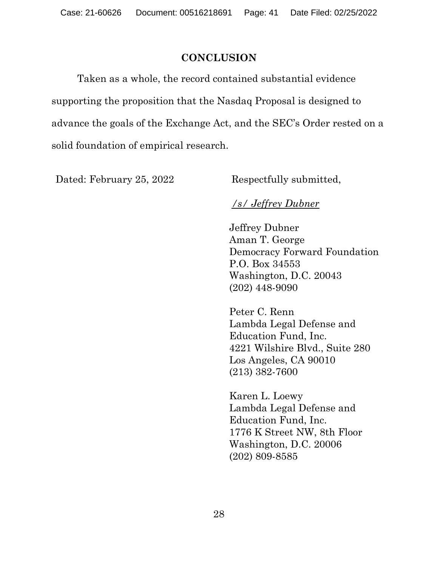#### **CONCLUSION**

Taken as a whole, the record contained substantial evidence supporting the proposition that the Nasdaq Proposal is designed to advance the goals of the Exchange Act, and the SEC's Order rested on a solid foundation of empirical research.

Dated: February 25, 2022 Respectfully submitted,

# */s/ Jeffrey Dubner*

Jeffrey Dubner Aman T. George Democracy Forward Foundation P.O. Box 34553 Washington, D.C. 20043 (202) 448-9090

Peter C. Renn Lambda Legal Defense and Education Fund, Inc. 4221 Wilshire Blvd., Suite 280 Los Angeles, CA 90010 (213) 382-7600

Karen L. Loewy Lambda Legal Defense and Education Fund, Inc. 1776 K Street NW, 8th Floor Washington, D.C. 20006 (202) 809-8585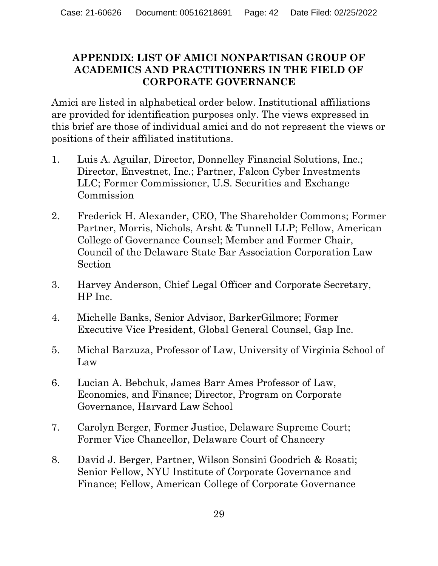### **APPENDIX: LIST OF AMICI NONPARTISAN GROUP OF ACADEMICS AND PRACTITIONERS IN THE FIELD OF CORPORATE GOVERNANCE**

Amici are listed in alphabetical order below. Institutional affiliations are provided for identification purposes only. The views expressed in this brief are those of individual amici and do not represent the views or positions of their affiliated institutions.

- 1. Luis A. Aguilar, Director, Donnelley Financial Solutions, Inc.; Director, Envestnet, Inc.; Partner, Falcon Cyber Investments LLC; Former Commissioner, U.S. Securities and Exchange Commission
- 2. Frederick H. Alexander, CEO, The Shareholder Commons; Former Partner, Morris, Nichols, Arsht & Tunnell LLP; Fellow, American College of Governance Counsel; Member and Former Chair, Council of the Delaware State Bar Association Corporation Law Section
- 3. Harvey Anderson, Chief Legal Officer and Corporate Secretary, HP Inc.
- 4. Michelle Banks, Senior Advisor, BarkerGilmore; Former Executive Vice President, Global General Counsel, Gap Inc.
- 5. Michal Barzuza, Professor of Law, University of Virginia School of Law
- 6. Lucian A. Bebchuk, James Barr Ames Professor of Law, Economics, and Finance; Director, Program on Corporate Governance, Harvard Law School
- 7. Carolyn Berger, Former Justice, Delaware Supreme Court; Former Vice Chancellor, Delaware Court of Chancery
- 8. David J. Berger, Partner, Wilson Sonsini Goodrich & Rosati; Senior Fellow, NYU Institute of Corporate Governance and Finance; Fellow, American College of Corporate Governance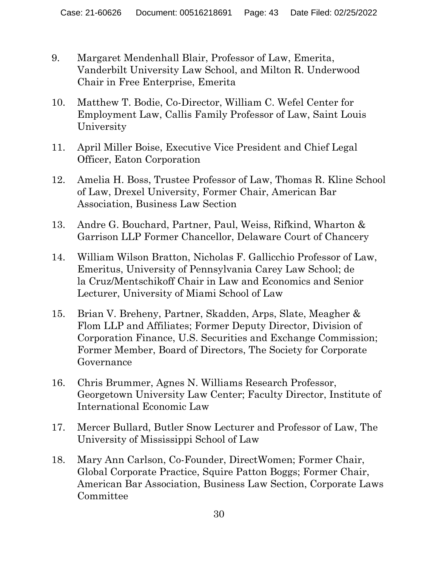- 9. Margaret Mendenhall Blair, Professor of Law, Emerita, Vanderbilt University Law School, and Milton R. Underwood Chair in Free Enterprise, Emerita
- 10. Matthew T. Bodie, Co-Director, William C. Wefel Center for Employment Law, Callis Family Professor of Law, Saint Louis University
- 11. April Miller Boise, Executive Vice President and Chief Legal Officer, Eaton Corporation
- 12. Amelia H. Boss, Trustee Professor of Law, Thomas R. Kline School of Law, Drexel University, Former Chair, American Bar Association, Business Law Section
- 13. Andre G. Bouchard, Partner, Paul, Weiss, Rifkind, Wharton & Garrison LLP Former Chancellor, Delaware Court of Chancery
- 14. William Wilson Bratton, Nicholas F. Gallicchio Professor of Law, Emeritus, University of Pennsylvania Carey Law School; de la Cruz/Mentschikoff Chair in Law and Economics and Senior Lecturer, University of Miami School of Law
- 15. Brian V. Breheny, Partner, Skadden, Arps, Slate, Meagher & Flom LLP and Affiliates; Former Deputy Director, Division of Corporation Finance, U.S. Securities and Exchange Commission; Former Member, Board of Directors, The Society for Corporate Governance
- 16. Chris Brummer, Agnes N. Williams Research Professor, Georgetown University Law Center; Faculty Director, Institute of International Economic Law
- 17. Mercer Bullard, Butler Snow Lecturer and Professor of Law, The University of Mississippi School of Law
- 18. Mary Ann Carlson, Co-Founder, DirectWomen; Former Chair, Global Corporate Practice, Squire Patton Boggs; Former Chair, American Bar Association, Business Law Section, Corporate Laws Committee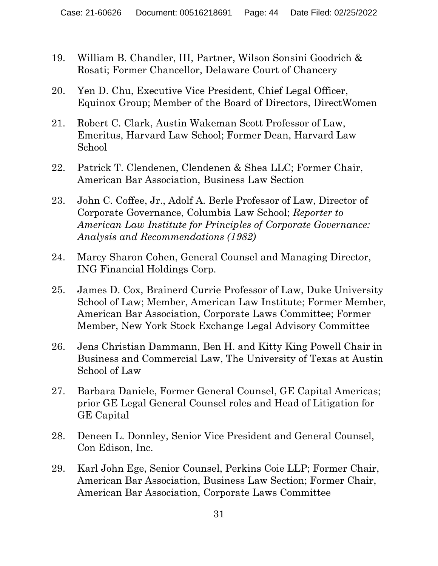- 19. William B. Chandler, III, Partner, Wilson Sonsini Goodrich & Rosati; Former Chancellor, Delaware Court of Chancery
- 20. Yen D. Chu, Executive Vice President, Chief Legal Officer, Equinox Group; Member of the Board of Directors, DirectWomen
- 21. Robert C. Clark, Austin Wakeman Scott Professor of Law, Emeritus, Harvard Law School; Former Dean, Harvard Law School
- 22. Patrick T. Clendenen, Clendenen & Shea LLC; Former Chair, American Bar Association, Business Law Section
- 23. John C. Coffee, Jr., Adolf A. Berle Professor of Law, Director of Corporate Governance, Columbia Law School; *Reporter to American Law Institute for Principles of Corporate Governance: Analysis and Recommendations (1982)*
- 24. Marcy Sharon Cohen, General Counsel and Managing Director, ING Financial Holdings Corp.
- 25. James D. Cox, Brainerd Currie Professor of Law, Duke University School of Law; Member, American Law Institute; Former Member, American Bar Association, Corporate Laws Committee; Former Member, New York Stock Exchange Legal Advisory Committee
- 26. Jens Christian Dammann, Ben H. and Kitty King Powell Chair in Business and Commercial Law, The University of Texas at Austin School of Law
- 27. Barbara Daniele, Former General Counsel, GE Capital Americas; prior GE Legal General Counsel roles and Head of Litigation for GE Capital
- 28. Deneen L. Donnley, Senior Vice President and General Counsel, Con Edison, Inc.
- 29. Karl John Ege, Senior Counsel, Perkins Coie LLP; Former Chair, American Bar Association, Business Law Section; Former Chair, American Bar Association, Corporate Laws Committee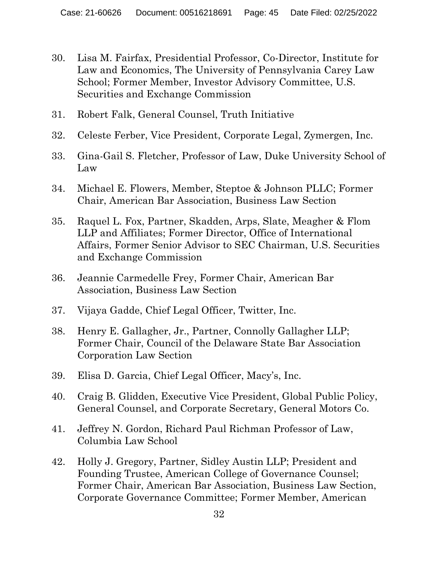- 30. Lisa M. Fairfax, Presidential Professor, Co-Director, Institute for Law and Economics, The University of Pennsylvania Carey Law School; Former Member, Investor Advisory Committee, U.S. Securities and Exchange Commission
- 31. Robert Falk, General Counsel, Truth Initiative
- 32. Celeste Ferber, Vice President, Corporate Legal, Zymergen, Inc.
- 33. Gina-Gail S. Fletcher, Professor of Law, Duke University School of Law
- 34. Michael E. Flowers, Member, Steptoe & Johnson PLLC; Former Chair, American Bar Association, Business Law Section
- 35. Raquel L. Fox, Partner, Skadden, Arps, Slate, Meagher & Flom LLP and Affiliates; Former Director, Office of International Affairs, Former Senior Advisor to SEC Chairman, U.S. Securities and Exchange Commission
- 36. Jeannie Carmedelle Frey, Former Chair, American Bar Association, Business Law Section
- 37. Vijaya Gadde, Chief Legal Officer, Twitter, Inc.
- 38. Henry E. Gallagher, Jr., Partner, Connolly Gallagher LLP; Former Chair, Council of the Delaware State Bar Association Corporation Law Section
- 39. Elisa D. Garcia, Chief Legal Officer, Macy's, Inc.
- 40. Craig B. Glidden, Executive Vice President, Global Public Policy, General Counsel, and Corporate Secretary, General Motors Co.
- 41. Jeffrey N. Gordon, Richard Paul Richman Professor of Law, Columbia Law School
- 42. Holly J. Gregory, Partner, Sidley Austin LLP; President and Founding Trustee, American College of Governance Counsel; Former Chair, American Bar Association, Business Law Section, Corporate Governance Committee; Former Member, American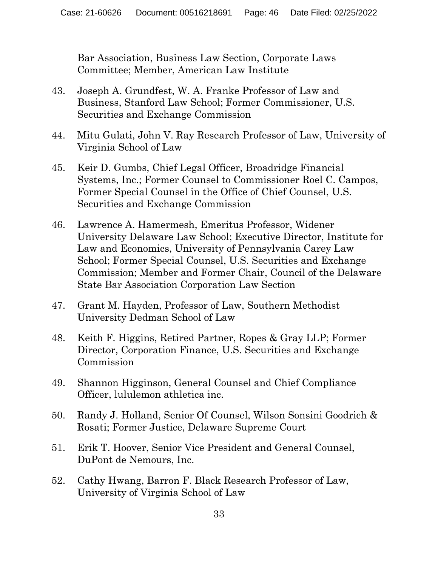Bar Association, Business Law Section, Corporate Laws Committee; Member, American Law Institute

- 43. Joseph A. Grundfest, W. A. Franke Professor of Law and Business, Stanford Law School; Former Commissioner, U.S. Securities and Exchange Commission
- 44. Mitu Gulati, John V. Ray Research Professor of Law, University of Virginia School of Law
- 45. Keir D. Gumbs, Chief Legal Officer, Broadridge Financial Systems, Inc.; Former Counsel to Commissioner Roel C. Campos, Former Special Counsel in the Office of Chief Counsel, U.S. Securities and Exchange Commission
- 46. Lawrence A. Hamermesh, Emeritus Professor, Widener University Delaware Law School; Executive Director, Institute for Law and Economics, University of Pennsylvania Carey Law School; Former Special Counsel, U.S. Securities and Exchange Commission; Member and Former Chair, Council of the Delaware State Bar Association Corporation Law Section
- 47. Grant M. Hayden, Professor of Law, Southern Methodist University Dedman School of Law
- 48. Keith F. Higgins, Retired Partner, Ropes & Gray LLP; Former Director, Corporation Finance, U.S. Securities and Exchange Commission
- 49. Shannon Higginson, General Counsel and Chief Compliance Officer, lululemon athletica inc.
- 50. Randy J. Holland, Senior Of Counsel, Wilson Sonsini Goodrich & Rosati; Former Justice, Delaware Supreme Court
- 51. Erik T. Hoover, Senior Vice President and General Counsel, DuPont de Nemours, Inc.
- 52. Cathy Hwang, Barron F. Black Research Professor of Law, University of Virginia School of Law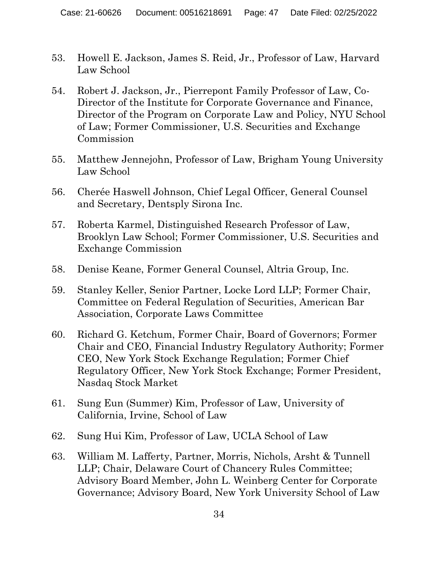- 53. Howell E. Jackson, James S. Reid, Jr., Professor of Law, Harvard Law School
- 54. Robert J. Jackson, Jr., Pierrepont Family Professor of Law, Co-Director of the Institute for Corporate Governance and Finance, Director of the Program on Corporate Law and Policy, NYU School of Law; Former Commissioner, U.S. Securities and Exchange Commission
- 55. Matthew Jennejohn, Professor of Law, Brigham Young University Law School
- 56. Cherée Haswell Johnson, Chief Legal Officer, General Counsel and Secretary, Dentsply Sirona Inc.
- 57. Roberta Karmel, Distinguished Research Professor of Law, Brooklyn Law School; Former Commissioner, U.S. Securities and Exchange Commission
- 58. Denise Keane, Former General Counsel, Altria Group, Inc.
- 59. Stanley Keller, Senior Partner, Locke Lord LLP; Former Chair, Committee on Federal Regulation of Securities, American Bar Association, Corporate Laws Committee
- 60. Richard G. Ketchum, Former Chair, Board of Governors; Former Chair and CEO, Financial Industry Regulatory Authority; Former CEO, New York Stock Exchange Regulation; Former Chief Regulatory Officer, New York Stock Exchange; Former President, Nasdaq Stock Market
- 61. Sung Eun (Summer) Kim, Professor of Law, University of California, Irvine, School of Law
- 62. Sung Hui Kim, Professor of Law, UCLA School of Law
- 63. William M. Lafferty, Partner, Morris, Nichols, Arsht & Tunnell LLP; Chair, Delaware Court of Chancery Rules Committee; Advisory Board Member, John L. Weinberg Center for Corporate Governance; Advisory Board, New York University School of Law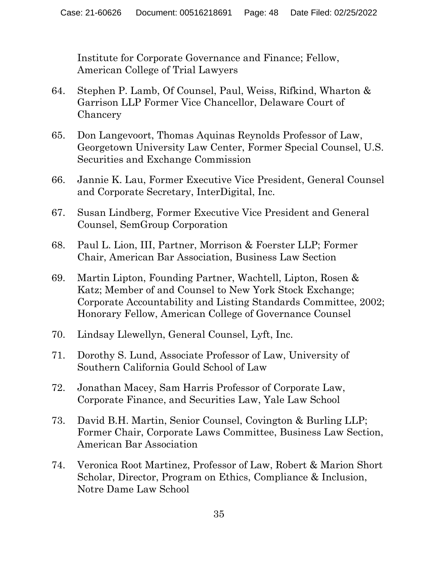Institute for Corporate Governance and Finance; Fellow, American College of Trial Lawyers

- 64. Stephen P. Lamb, Of Counsel, Paul, Weiss, Rifkind, Wharton & Garrison LLP Former Vice Chancellor, Delaware Court of **Chancery**
- 65. Don Langevoort, Thomas Aquinas Reynolds Professor of Law, Georgetown University Law Center, Former Special Counsel, U.S. Securities and Exchange Commission
- 66. Jannie K. Lau, Former Executive Vice President, General Counsel and Corporate Secretary, InterDigital, Inc.
- 67. Susan Lindberg, Former Executive Vice President and General Counsel, SemGroup Corporation
- 68. Paul L. Lion, III, Partner, Morrison & Foerster LLP; Former Chair, American Bar Association, Business Law Section
- 69. Martin Lipton, Founding Partner, Wachtell, Lipton, Rosen & Katz; Member of and Counsel to New York Stock Exchange; Corporate Accountability and Listing Standards Committee, 2002; Honorary Fellow, American College of Governance Counsel
- 70. Lindsay Llewellyn, General Counsel, Lyft, Inc.
- 71. Dorothy S. Lund, Associate Professor of Law, University of Southern California Gould School of Law
- 72. Jonathan Macey, Sam Harris Professor of Corporate Law, Corporate Finance, and Securities Law, Yale Law School
- 73. David B.H. Martin, Senior Counsel, Covington & Burling LLP; Former Chair, Corporate Laws Committee, Business Law Section, American Bar Association
- 74. Veronica Root Martinez, Professor of Law, Robert & Marion Short Scholar, Director, Program on Ethics, Compliance & Inclusion, Notre Dame Law School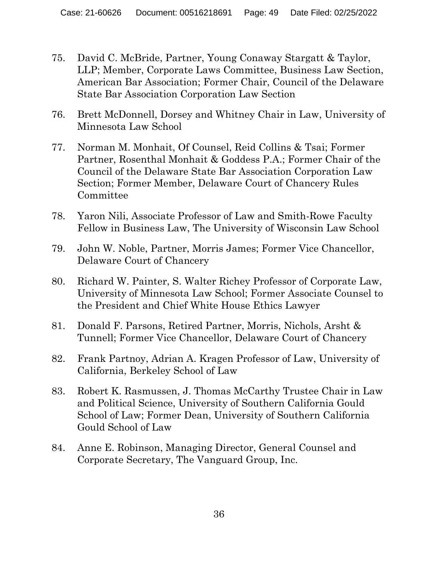- 75. David C. McBride, Partner, Young Conaway Stargatt & Taylor, LLP; Member, Corporate Laws Committee, Business Law Section, American Bar Association; Former Chair, Council of the Delaware State Bar Association Corporation Law Section
- 76. Brett McDonnell, Dorsey and Whitney Chair in Law, University of Minnesota Law School
- 77. Norman M. Monhait, Of Counsel, Reid Collins & Tsai; Former Partner, Rosenthal Monhait & Goddess P.A.; Former Chair of the Council of the Delaware State Bar Association Corporation Law Section; Former Member, Delaware Court of Chancery Rules Committee
- 78. Yaron Nili, Associate Professor of Law and Smith-Rowe Faculty Fellow in Business Law, The University of Wisconsin Law School
- 79. John W. Noble, Partner, Morris James; Former Vice Chancellor, Delaware Court of Chancery
- 80. Richard W. Painter, S. Walter Richey Professor of Corporate Law, University of Minnesota Law School; Former Associate Counsel to the President and Chief White House Ethics Lawyer
- 81. Donald F. Parsons, Retired Partner, Morris, Nichols, Arsht & Tunnell; Former Vice Chancellor, Delaware Court of Chancery
- 82. Frank Partnoy, Adrian A. Kragen Professor of Law, University of California, Berkeley School of Law
- 83. Robert K. Rasmussen, J. Thomas McCarthy Trustee Chair in Law and Political Science, University of Southern California Gould School of Law; Former Dean, University of Southern California Gould School of Law
- 84. Anne E. Robinson, Managing Director, General Counsel and Corporate Secretary, The Vanguard Group, Inc.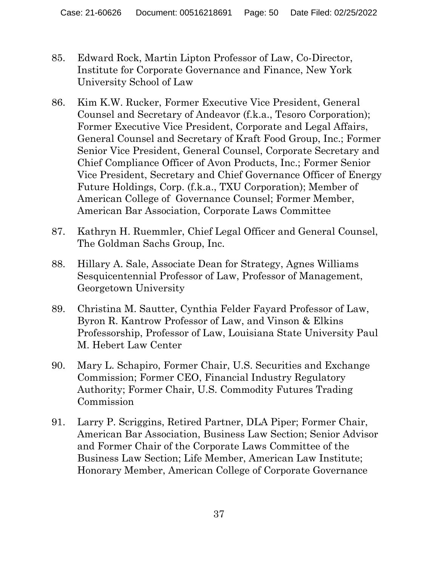- 85. Edward Rock, Martin Lipton Professor of Law, Co-Director, Institute for Corporate Governance and Finance, New York University School of Law
- 86. Kim K.W. Rucker, Former Executive Vice President, General Counsel and Secretary of Andeavor (f.k.a., Tesoro Corporation); Former Executive Vice President, Corporate and Legal Affairs, General Counsel and Secretary of Kraft Food Group, Inc.; Former Senior Vice President, General Counsel, Corporate Secretary and Chief Compliance Officer of Avon Products, Inc.; Former Senior Vice President, Secretary and Chief Governance Officer of Energy Future Holdings, Corp. (f.k.a., TXU Corporation); Member of American College of Governance Counsel; Former Member, American Bar Association, Corporate Laws Committee
- 87. Kathryn H. Ruemmler, Chief Legal Officer and General Counsel, The Goldman Sachs Group, Inc.
- 88. Hillary A. Sale, Associate Dean for Strategy, Agnes Williams Sesquicentennial Professor of Law, Professor of Management, Georgetown University
- 89. Christina M. Sautter, Cynthia Felder Fayard Professor of Law, Byron R. Kantrow Professor of Law, and Vinson & Elkins Professorship, Professor of Law, Louisiana State University Paul M. Hebert Law Center
- 90. Mary L. Schapiro, Former Chair, U.S. Securities and Exchange Commission; Former CEO, Financial Industry Regulatory Authority; Former Chair, U.S. Commodity Futures Trading Commission
- 91. Larry P. Scriggins, Retired Partner, DLA Piper; Former Chair, American Bar Association, Business Law Section; Senior Advisor and Former Chair of the Corporate Laws Committee of the Business Law Section; Life Member, American Law Institute; Honorary Member, American College of Corporate Governance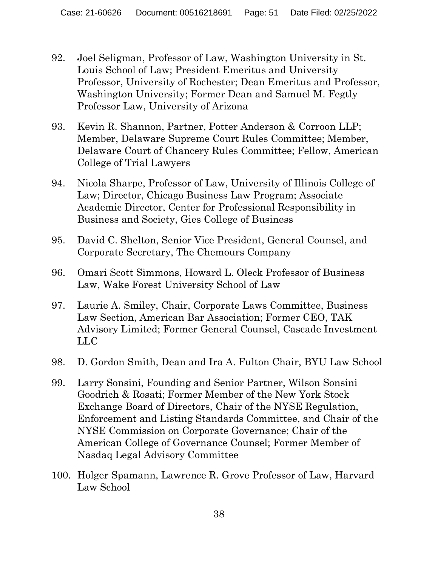- 92. Joel Seligman, Professor of Law, Washington University in St. Louis School of Law; President Emeritus and University Professor, University of Rochester; Dean Emeritus and Professor, Washington University; Former Dean and Samuel M. Fegtly Professor Law, University of Arizona
- 93. Kevin R. Shannon, Partner, Potter Anderson & Corroon LLP; Member, Delaware Supreme Court Rules Committee; Member, Delaware Court of Chancery Rules Committee; Fellow, American College of Trial Lawyers
- 94. Nicola Sharpe, Professor of Law, University of Illinois College of Law; Director, Chicago Business Law Program; Associate Academic Director, Center for Professional Responsibility in Business and Society, Gies College of Business
- 95. David C. Shelton, Senior Vice President, General Counsel, and Corporate Secretary, The Chemours Company
- 96. Omari Scott Simmons, Howard L. Oleck Professor of Business Law, Wake Forest University School of Law
- 97. Laurie A. Smiley, Chair, Corporate Laws Committee, Business Law Section, American Bar Association; Former CEO, TAK Advisory Limited; Former General Counsel, Cascade Investment LLC
- 98. D. Gordon Smith, Dean and Ira A. Fulton Chair, BYU Law School
- 99. Larry Sonsini, Founding and Senior Partner, Wilson Sonsini Goodrich & Rosati; Former Member of the New York Stock Exchange Board of Directors, Chair of the NYSE Regulation, Enforcement and Listing Standards Committee, and Chair of the NYSE Commission on Corporate Governance; Chair of the American College of Governance Counsel; Former Member of Nasdaq Legal Advisory Committee
- 100. Holger Spamann, Lawrence R. Grove Professor of Law, Harvard Law School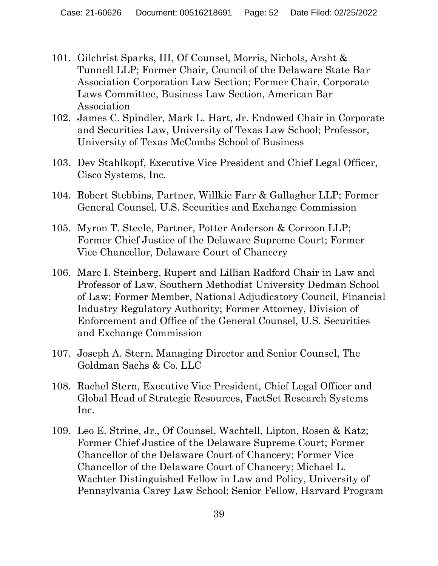- 101. Gilchrist Sparks, III, Of Counsel, Morris, Nichols, Arsht & Tunnell LLP; Former Chair, Council of the Delaware State Bar Association Corporation Law Section; Former Chair, Corporate Laws Committee, Business Law Section, American Bar Association
- 102. James C. Spindler, Mark L. Hart, Jr. Endowed Chair in Corporate and Securities Law, University of Texas Law School; Professor, University of Texas McCombs School of Business
- 103. Dev Stahlkopf, Executive Vice President and Chief Legal Officer, Cisco Systems, Inc.
- 104. Robert Stebbins, Partner, Willkie Farr & Gallagher LLP; Former General Counsel, U.S. Securities and Exchange Commission
- 105. Myron T. Steele, Partner, Potter Anderson & Corroon LLP; Former Chief Justice of the Delaware Supreme Court; Former Vice Chancellor, Delaware Court of Chancery
- 106. Marc I. Steinberg, Rupert and Lillian Radford Chair in Law and Professor of Law, Southern Methodist University Dedman School of Law; Former Member, National Adjudicatory Council, Financial Industry Regulatory Authority; Former Attorney, Division of Enforcement and Office of the General Counsel, U.S. Securities and Exchange Commission
- 107. Joseph A. Stern, Managing Director and Senior Counsel, The Goldman Sachs & Co. LLC
- 108. Rachel Stern, Executive Vice President, Chief Legal Officer and Global Head of Strategic Resources, FactSet Research Systems Inc.
- 109. Leo E. Strine, Jr., Of Counsel, Wachtell, Lipton, Rosen & Katz; Former Chief Justice of the Delaware Supreme Court; Former Chancellor of the Delaware Court of Chancery; Former Vice Chancellor of the Delaware Court of Chancery; Michael L. Wachter Distinguished Fellow in Law and Policy, University of Pennsylvania Carey Law School; Senior Fellow, Harvard Program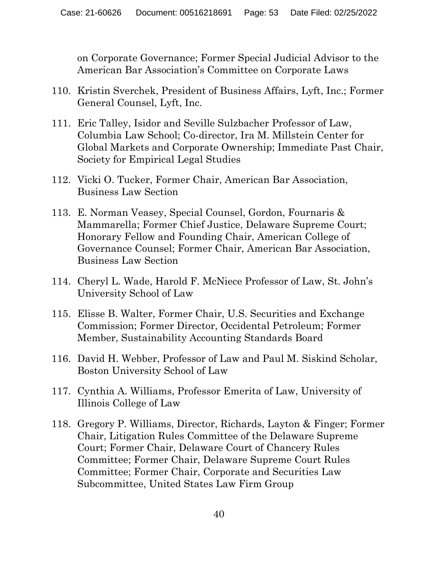on Corporate Governance; Former Special Judicial Advisor to the American Bar Association's Committee on Corporate Laws

- 110. Kristin Sverchek, President of Business Affairs, Lyft, Inc.; Former General Counsel, Lyft, Inc.
- 111. Eric Talley, Isidor and Seville Sulzbacher Professor of Law, Columbia Law School; Co-director, Ira M. Millstein Center for Global Markets and Corporate Ownership; Immediate Past Chair, Society for Empirical Legal Studies
- 112. Vicki O. Tucker, Former Chair, American Bar Association, Business Law Section
- 113. E. Norman Veasey, Special Counsel, Gordon, Fournaris & Mammarella; Former Chief Justice, Delaware Supreme Court; Honorary Fellow and Founding Chair, American College of Governance Counsel; Former Chair, American Bar Association, Business Law Section
- 114. Cheryl L. Wade, Harold F. McNiece Professor of Law, St. John's University School of Law
- 115. Elisse B. Walter, Former Chair, U.S. Securities and Exchange Commission; Former Director, Occidental Petroleum; Former Member, Sustainability Accounting Standards Board
- 116. David H. Webber, Professor of Law and Paul M. Siskind Scholar, Boston University School of Law
- 117. Cynthia A. Williams, Professor Emerita of Law, University of Illinois College of Law
- 118. Gregory P. Williams, Director, Richards, Layton & Finger; Former Chair, Litigation Rules Committee of the Delaware Supreme Court; Former Chair, Delaware Court of Chancery Rules Committee; Former Chair, Delaware Supreme Court Rules Committee; Former Chair, Corporate and Securities Law Subcommittee, United States Law Firm Group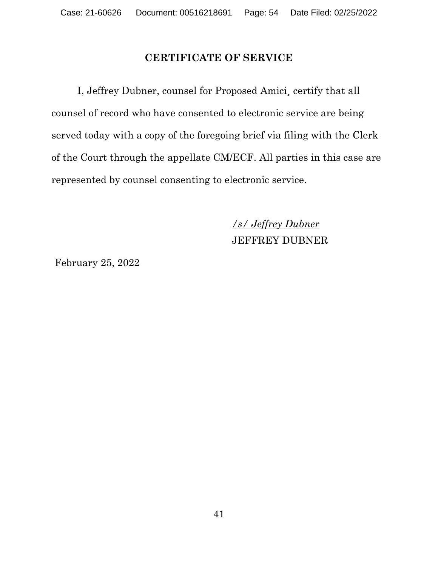#### **CERTIFICATE OF SERVICE**

I, Jeffrey Dubner, counsel for Proposed Amici¸ certify that all counsel of record who have consented to electronic service are being served today with a copy of the foregoing brief via filing with the Clerk of the Court through the appellate CM/ECF. All parties in this case are represented by counsel consenting to electronic service.

> */s/ Jeffrey Dubner* JEFFREY DUBNER

February 25, 2022